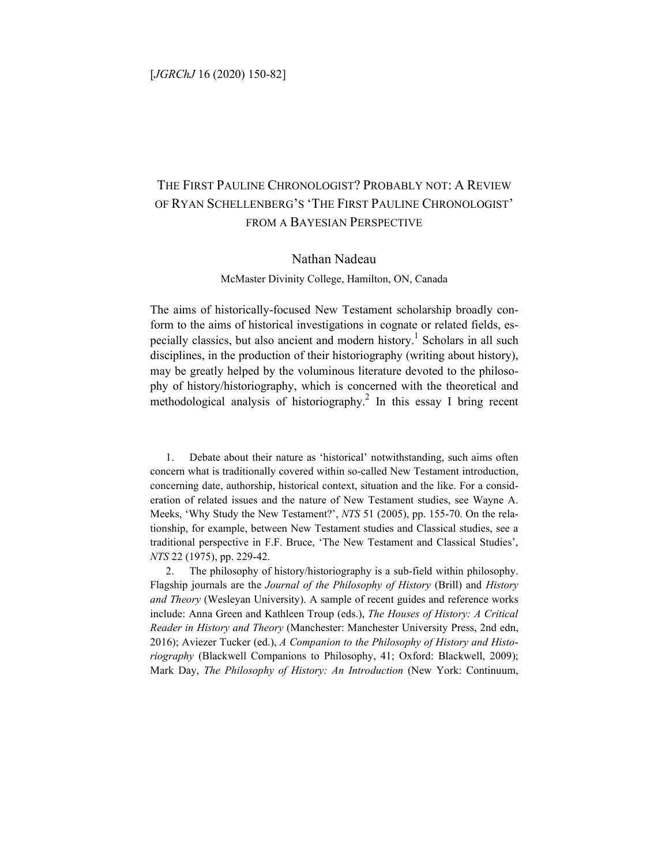#### [*JGRChJ* 16 (2020) 150-82]

# THE FIRST PAULINE CHRONOLOGIST? PROBABLY NOT: A REVIEW OF RYAN SCHELLENBERG'S 'THE FIRST PAULINE CHRONOLOGIST' FROM A BAYESIAN PERSPECTIVE

### Nathan Nadeau

McMaster Divinity College, Hamilton, ON, Canada

The aims of historically-focused New Testament scholarship broadly conform to the aims of historical investigations in cognate or related fields, especially classics, but also ancient and modern history.<sup>1</sup> Scholars in all such disciplines, in the production of their historiography (writing about history), may be greatly helped by the voluminous literature devoted to the philosophy of history/historiography, which is concerned with the theoretical and methodological analysis of historiography.<sup>2</sup> In this essay I bring recent

1. Debate about their nature as 'historical' notwithstanding, such aims often concern what is traditionally covered within so-called New Testament introduction, concerning date, authorship, historical context, situation and the like. For a consideration of related issues and the nature of New Testament studies, see Wayne A. Meeks, 'Why Study the New Testament?', *NTS* 51 (2005), pp. 155-70. On the relationship, for example, between New Testament studies and Classical studies, see a traditional perspective in F.F. Bruce, 'The New Testament and Classical Studies', *NTS* 22 (1975), pp. 229-42.

The philosophy of history/historiography is a sub-field within philosophy. Flagship journals are the *Journal of the Philosophy of History* (Brill) and *History and Theory* (Wesleyan University). A sample of recent guides and reference works include: Anna Green and Kathleen Troup (eds.), *The Houses of History: A Critical Reader in History and Theory* (Manchester: Manchester University Press, 2nd edn, 2016); Aviezer Tucker (ed.), *A Companion to the Philosophy of History and Historiography* (Blackwell Companions to Philosophy, 41; Oxford: Blackwell, 2009); Mark Day, *The Philosophy of History: An Introduction* (New York: Continuum,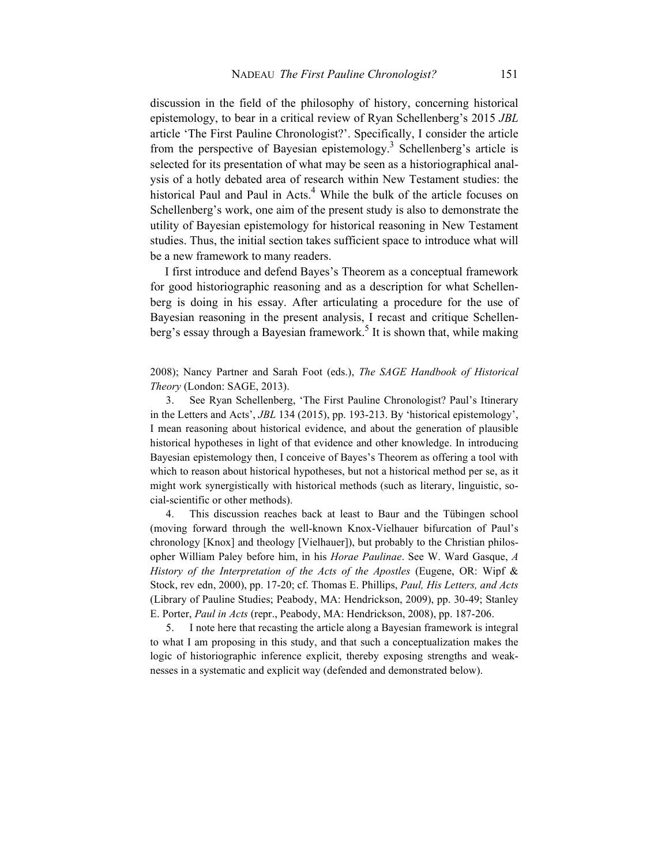discussion in the field of the philosophy of history, concerning historical epistemology, to bear in a critical review of Ryan Schellenberg's 2015 *JBL* article 'The First Pauline Chronologist?'. Specifically, I consider the article from the perspective of Bayesian epistemology.<sup>3</sup> Schellenberg's article is selected for its presentation of what may be seen as a historiographical analysis of a hotly debated area of research within New Testament studies: the historical Paul and Paul in Acts.<sup>4</sup> While the bulk of the article focuses on Schellenberg's work, one aim of the present study is also to demonstrate the utility of Bayesian epistemology for historical reasoning in New Testament studies. Thus, the initial section takes sufficient space to introduce what will be a new framework to many readers.

I first introduce and defend Bayes's Theorem as a conceptual framework for good historiographic reasoning and as a description for what Schellenberg is doing in his essay. After articulating a procedure for the use of Bayesian reasoning in the present analysis, I recast and critique Schellenberg's essay through a Bayesian framework.<sup>5</sup> It is shown that, while making

2008); Nancy Partner and Sarah Foot (eds.), *The SAGE Handbook of Historical Theory* (London: SAGE, 2013).

3. See Ryan Schellenberg, 'The First Pauline Chronologist? Paul's Itinerary in the Letters and Acts', *JBL* 134 (2015), pp. 193-213. By 'historical epistemology', I mean reasoning about historical evidence, and about the generation of plausible historical hypotheses in light of that evidence and other knowledge. In introducing Bayesian epistemology then, I conceive of Bayes's Theorem as offering a tool with which to reason about historical hypotheses, but not a historical method per se, as it might work synergistically with historical methods (such as literary, linguistic, social-scientific or other methods).

4. This discussion reaches back at least to Baur and the Tübingen school (moving forward through the well-known Knox-Vielhauer bifurcation of Paul's chronology [Knox] and theology [Vielhauer]), but probably to the Christian philosopher William Paley before him, in his *Horae Paulinae*. See W. Ward Gasque, *A History of the Interpretation of the Acts of the Apostles* (Eugene, OR: Wipf & Stock, rev edn, 2000), pp. 17-20; cf. Thomas E. Phillips, *Paul, His Letters, and Acts* (Library of Pauline Studies; Peabody, MA: Hendrickson, 2009), pp. 30-49; Stanley E. Porter, *Paul in Acts* (repr., Peabody, MA: Hendrickson, 2008), pp. 187-206.

5. I note here that recasting the article along a Bayesian framework is integral to what I am proposing in this study, and that such a conceptualization makes the logic of historiographic inference explicit, thereby exposing strengths and weaknesses in a systematic and explicit way (defended and demonstrated below).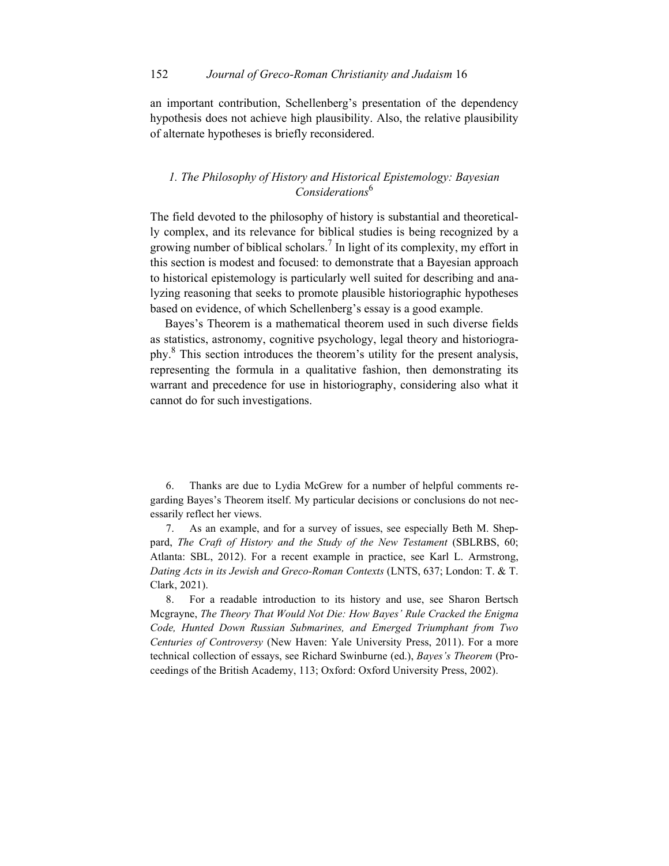an important contribution, Schellenberg's presentation of the dependency hypothesis does not achieve high plausibility. Also, the relative plausibility of alternate hypotheses is briefly reconsidered.

## *1. The Philosophy of History and Historical Epistemology: Bayesian Considerations*<sup>6</sup>

The field devoted to the philosophy of history is substantial and theoretically complex, and its relevance for biblical studies is being recognized by a growing number of biblical scholars.<sup>7</sup> In light of its complexity, my effort in this section is modest and focused: to demonstrate that a Bayesian approach to historical epistemology is particularly well suited for describing and analyzing reasoning that seeks to promote plausible historiographic hypotheses based on evidence, of which Schellenberg's essay is a good example.

Bayes's Theorem is a mathematical theorem used in such diverse fields as statistics, astronomy, cognitive psychology, legal theory and historiography.<sup>8</sup> This section introduces the theorem's utility for the present analysis, representing the formula in a qualitative fashion, then demonstrating its warrant and precedence for use in historiography, considering also what it cannot do for such investigations.

6. Thanks are due to Lydia McGrew for a number of helpful comments regarding Bayes's Theorem itself. My particular decisions or conclusions do not necessarily reflect her views.

7. As an example, and for a survey of issues, see especially Beth M. Sheppard, *The Craft of History and the Study of the New Testament* (SBLRBS, 60; Atlanta: SBL, 2012). For a recent example in practice, see Karl L. Armstrong, *Dating Acts in its Jewish and Greco-Roman Contexts* (LNTS, 637; London: T. & T. Clark, 2021).

8. For a readable introduction to its history and use, see Sharon Bertsch Mcgrayne, *The Theory That Would Not Die: How Bayes' Rule Cracked the Enigma Code, Hunted Down Russian Submarines, and Emerged Triumphant from Two Centuries of Controversy* (New Haven: Yale University Press, 2011). For a more technical collection of essays, see Richard Swinburne (ed.), *Bayes's Theorem* (Proceedings of the British Academy, 113; Oxford: Oxford University Press, 2002).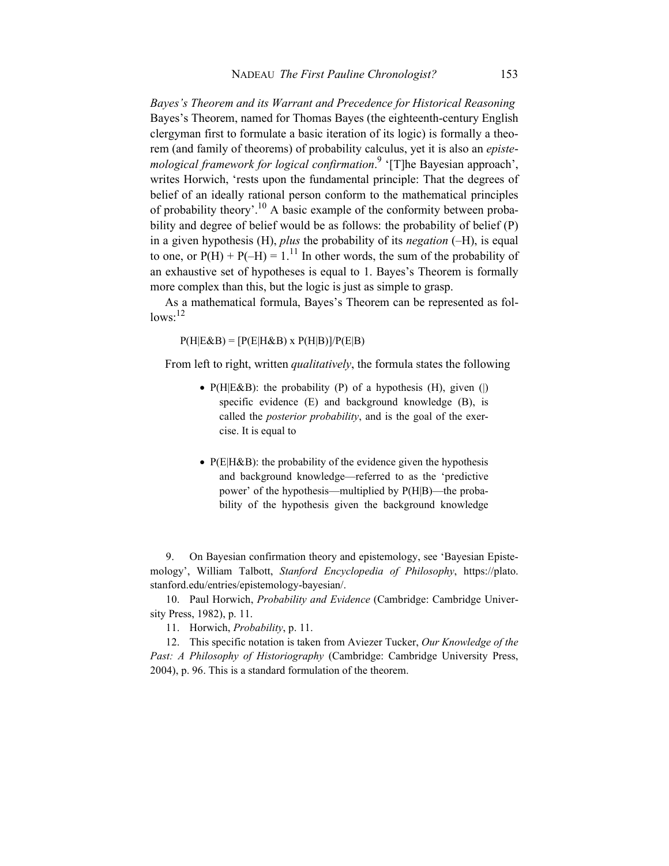*Bayes's Theorem and its Warrant and Precedence for Historical Reasoning*  Bayes's Theorem, named for Thomas Bayes (the eighteenth-century English clergyman first to formulate a basic iteration of its logic) is formally a theorem (and family of theorems) of probability calculus, yet it is also an *episte*mological framework for logical confirmation.<sup>9</sup> '[T]he Bayesian approach', writes Horwich, 'rests upon the fundamental principle: That the degrees of belief of an ideally rational person conform to the mathematical principles of probability theory'.<sup>10</sup> A basic example of the conformity between probability and degree of belief would be as follows: the probability of belief (P) in a given hypothesis (H), *plus* the probability of its *negation* (–H), is equal to one, or  $P(H) + P(-H) = 1<sup>11</sup>$  In other words, the sum of the probability of an exhaustive set of hypotheses is equal to 1. Bayes's Theorem is formally more complex than this, but the logic is just as simple to grasp.

As a mathematical formula, Bayes's Theorem can be represented as fol $lows:$ <sup>12</sup>

 $P(H|E\&B) = [P(E|H\&B) \times P(H|B)]/P(E|B)$ 

From left to right, written *qualitatively*, the formula states the following

- $P(H|E&B)$ : the probability (P) of a hypothesis (H), given (|) specific evidence (E) and background knowledge (B), is called the *posterior probability*, and is the goal of the exercise. It is equal to
- $P(E|H&B)$ : the probability of the evidence given the hypothesis and background knowledge—referred to as the 'predictive power' of the hypothesis—multiplied by P(H|B)—the probability of the hypothesis given the background knowledge

9. On Bayesian confirmation theory and epistemology, see 'Bayesian Epistemology', William Talbott, *Stanford Encyclopedia of Philosophy*, https://plato. stanford.edu/entries/epistemology-bayesian/.

10. Paul Horwich, *Probability and Evidence* (Cambridge: Cambridge University Press, 1982), p. 11.

11. Horwich, *Probability*, p. 11.

12. This specific notation is taken from Aviezer Tucker, *Our Knowledge of the Past: A Philosophy of Historiography* (Cambridge: Cambridge University Press, 2004), p. 96. This is a standard formulation of the theorem.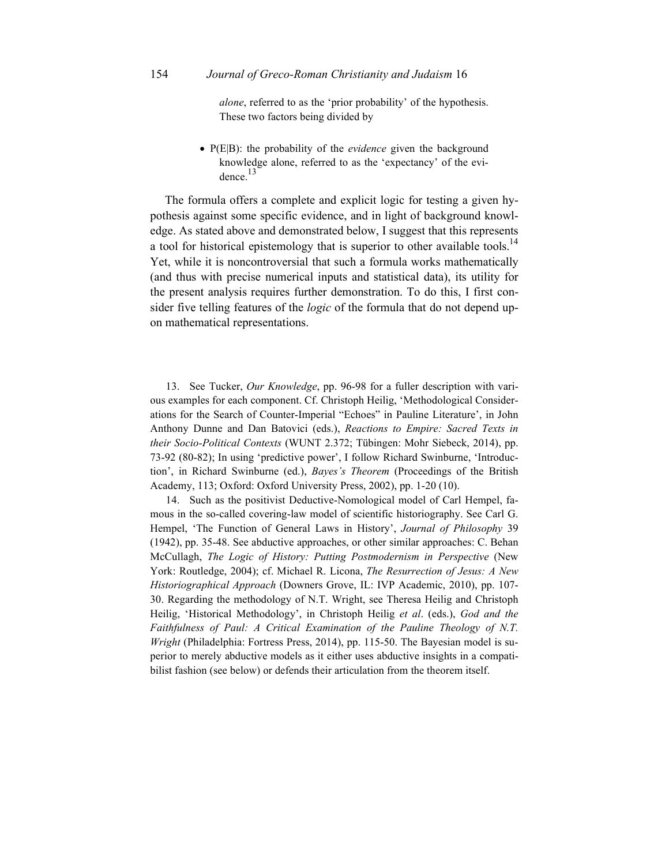*alone*, referred to as the 'prior probability' of the hypothesis. These two factors being divided by

 P(E|B): the probability of the *evidence* given the background knowledge alone, referred to as the 'expectancy' of the evidence.<sup>13</sup>

The formula offers a complete and explicit logic for testing a given hypothesis against some specific evidence, and in light of background knowledge. As stated above and demonstrated below, I suggest that this represents a tool for historical epistemology that is superior to other available tools.<sup>14</sup> Yet, while it is noncontroversial that such a formula works mathematically (and thus with precise numerical inputs and statistical data), its utility for the present analysis requires further demonstration. To do this, I first consider five telling features of the *logic* of the formula that do not depend upon mathematical representations.

13. See Tucker, *Our Knowledge*, pp. 96-98 for a fuller description with various examples for each component. Cf. Christoph Heilig, 'Methodological Considerations for the Search of Counter-Imperial "Echoes" in Pauline Literature', in John Anthony Dunne and Dan Batovici (eds.), *Reactions to Empire: Sacred Texts in their Socio-Political Contexts* (WUNT 2.372; Tübingen: Mohr Siebeck, 2014), pp. 73-92 (80-82); In using 'predictive power', I follow Richard Swinburne, 'Introduction', in Richard Swinburne (ed.), *Bayes's Theorem* (Proceedings of the British Academy, 113; Oxford: Oxford University Press, 2002), pp. 1-20 (10).

14. Such as the positivist Deductive-Nomological model of Carl Hempel, famous in the so-called covering-law model of scientific historiography. See Carl G. Hempel, 'The Function of General Laws in History', *Journal of Philosophy* 39 (1942), pp. 35-48. See abductive approaches, or other similar approaches: C. Behan McCullagh, *The Logic of History: Putting Postmodernism in Perspective* (New York: Routledge, 2004); cf. Michael R. Licona, *The Resurrection of Jesus: A New Historiographical Approach* (Downers Grove, IL: IVP Academic, 2010), pp. 107- 30. Regarding the methodology of N.T. Wright, see Theresa Heilig and Christoph Heilig, 'Historical Methodology', in Christoph Heilig *et al*. (eds.), *God and the Faithfulness of Paul: A Critical Examination of the Pauline Theology of N.T. Wright* (Philadelphia: Fortress Press, 2014), pp. 115-50. The Bayesian model is superior to merely abductive models as it either uses abductive insights in a compatibilist fashion (see below) or defends their articulation from the theorem itself.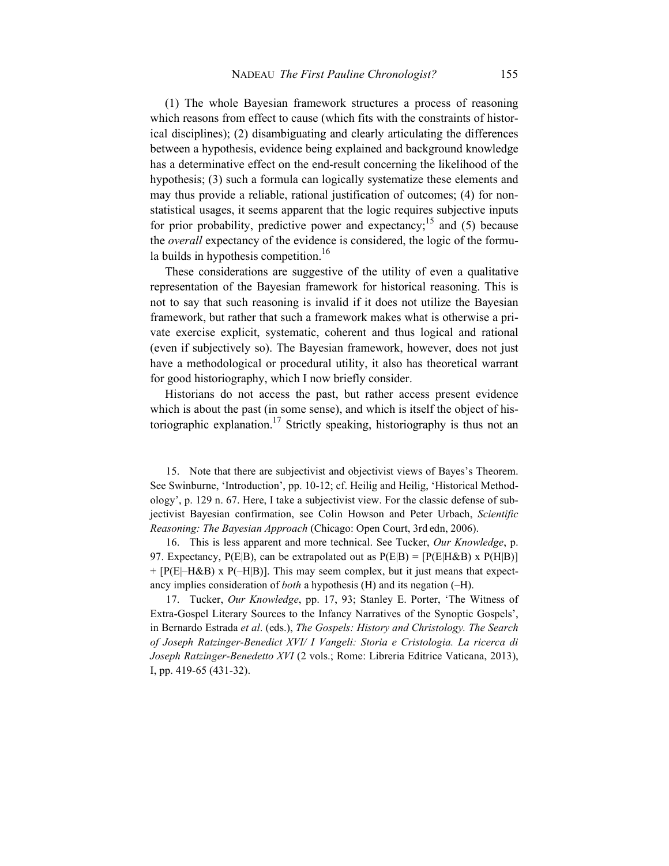(1) The whole Bayesian framework structures a process of reasoning which reasons from effect to cause (which fits with the constraints of historical disciplines); (2) disambiguating and clearly articulating the differences between a hypothesis, evidence being explained and background knowledge has a determinative effect on the end-result concerning the likelihood of the hypothesis; (3) such a formula can logically systematize these elements and may thus provide a reliable, rational justification of outcomes; (4) for nonstatistical usages, it seems apparent that the logic requires subjective inputs for prior probability, predictive power and expectancy;<sup>15</sup> and (5) because the *overall* expectancy of the evidence is considered, the logic of the formula builds in hypothesis competition.<sup>16</sup>

These considerations are suggestive of the utility of even a qualitative representation of the Bayesian framework for historical reasoning. This is not to say that such reasoning is invalid if it does not utilize the Bayesian framework, but rather that such a framework makes what is otherwise a private exercise explicit, systematic, coherent and thus logical and rational (even if subjectively so). The Bayesian framework, however, does not just have a methodological or procedural utility, it also has theoretical warrant for good historiography, which I now briefly consider.

Historians do not access the past, but rather access present evidence which is about the past (in some sense), and which is itself the object of historiographic explanation.<sup>17</sup> Strictly speaking, historiography is thus not an

15. Note that there are subjectivist and objectivist views of Bayes's Theorem. See Swinburne, 'Introduction', pp. 10-12; cf. Heilig and Heilig, 'Historical Methodology', p. 129 n. 67. Here, I take a subjectivist view. For the classic defense of subjectivist Bayesian confirmation, see Colin Howson and Peter Urbach, *Scientific Reasoning: The Bayesian Approach* (Chicago: Open Court, 3rd edn, 2006).

16. This is less apparent and more technical. See Tucker, *Our Knowledge*, p. 97. Expectancy,  $P(E|B)$ , can be extrapolated out as  $P(E|B) = [P(E|H\&B) \times P(H|B)]$  $+$  [P(E|–H&B) x P(–H|B)]. This may seem complex, but it just means that expectancy implies consideration of *both* a hypothesis (H) and its negation (–H).

17. Tucker, *Our Knowledge*, pp. 17, 93; Stanley E. Porter, 'The Witness of Extra-Gospel Literary Sources to the Infancy Narratives of the Synoptic Gospels', in Bernardo Estrada *et al*. (eds.), *The Gospels: History and Christology. The Search of Joseph Ratzinger-Benedict XVI/ I Vangeli: Storia e Cristologia. La ricerca di Joseph Ratzinger-Benedetto XVI* (2 vols.; Rome: Libreria Editrice Vaticana, 2013), I, pp. 419-65 (431-32).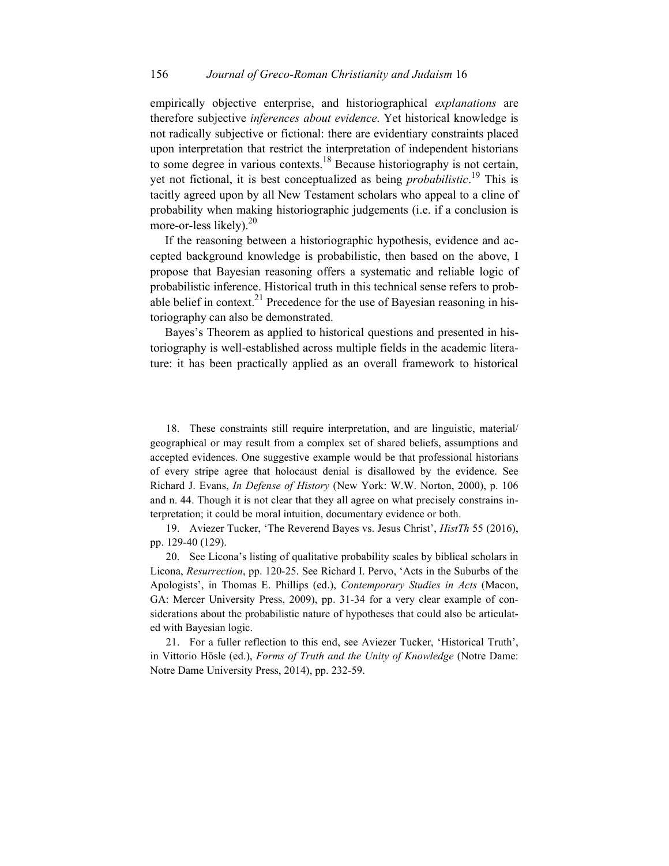empirically objective enterprise, and historiographical *explanations* are therefore subjective *inferences about evidence*. Yet historical knowledge is not radically subjective or fictional: there are evidentiary constraints placed upon interpretation that restrict the interpretation of independent historians to some degree in various contexts.<sup>18</sup> Because historiography is not certain, yet not fictional, it is best conceptualized as being *probabilistic*. <sup>19</sup> This is tacitly agreed upon by all New Testament scholars who appeal to a cline of probability when making historiographic judgements (i.e. if a conclusion is more-or-less likely).<sup>20</sup>

If the reasoning between a historiographic hypothesis, evidence and accepted background knowledge is probabilistic, then based on the above, I propose that Bayesian reasoning offers a systematic and reliable logic of probabilistic inference. Historical truth in this technical sense refers to probable belief in context.<sup>21</sup> Precedence for the use of Bayesian reasoning in historiography can also be demonstrated.

Bayes's Theorem as applied to historical questions and presented in historiography is well-established across multiple fields in the academic literature: it has been practically applied as an overall framework to historical

18. These constraints still require interpretation, and are linguistic, material/ geographical or may result from a complex set of shared beliefs, assumptions and accepted evidences. One suggestive example would be that professional historians of every stripe agree that holocaust denial is disallowed by the evidence. See Richard J. Evans, *In Defense of History* (New York: W.W. Norton, 2000), p. 106 and n. 44. Though it is not clear that they all agree on what precisely constrains interpretation; it could be moral intuition, documentary evidence or both.

19. Aviezer Tucker, 'The Reverend Bayes vs. Jesus Christ', *HistTh* 55 (2016), pp. 129-40 (129).

20. See Licona's listing of qualitative probability scales by biblical scholars in Licona, *Resurrection*, pp. 120-25. See Richard I. Pervo, 'Acts in the Suburbs of the Apologists', in Thomas E. Phillips (ed.), *Contemporary Studies in Acts* (Macon, GA: Mercer University Press, 2009), pp. 31-34 for a very clear example of considerations about the probabilistic nature of hypotheses that could also be articulated with Bayesian logic.

21. For a fuller reflection to this end, see Aviezer Tucker, 'Historical Truth', in Vittorio Hösle (ed.), *Forms of Truth and the Unity of Knowledge* (Notre Dame: Notre Dame University Press, 2014), pp. 232-59.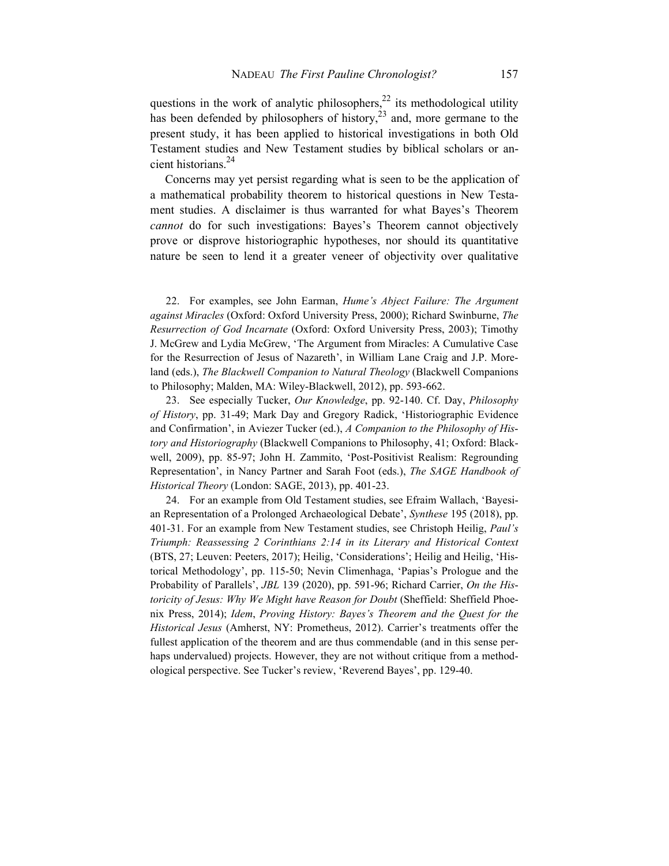questions in the work of analytic philosophers,  $^{22}$  its methodological utility has been defended by philosophers of history,  $2<sup>3</sup>$  and, more germane to the present study, it has been applied to historical investigations in both Old Testament studies and New Testament studies by biblical scholars or ancient historians.<sup>24</sup>

 Concerns may yet persist regarding what is seen to be the application of a mathematical probability theorem to historical questions in New Testament studies. A disclaimer is thus warranted for what Bayes's Theorem *cannot* do for such investigations: Bayes's Theorem cannot objectively prove or disprove historiographic hypotheses, nor should its quantitative nature be seen to lend it a greater veneer of objectivity over qualitative

22. For examples, see John Earman, *Hume's Abject Failure: The Argument against Miracles* (Oxford: Oxford University Press, 2000); Richard Swinburne, *The Resurrection of God Incarnate* (Oxford: Oxford University Press, 2003); Timothy J. McGrew and Lydia McGrew, 'The Argument from Miracles: A Cumulative Case for the Resurrection of Jesus of Nazareth', in William Lane Craig and J.P. Moreland (eds.), *The Blackwell Companion to Natural Theology* (Blackwell Companions to Philosophy; Malden, MA: Wiley-Blackwell, 2012), pp. 593-662.

23. See especially Tucker, *Our Knowledge*, pp. 92-140. Cf. Day, *Philosophy of History*, pp. 31-49; Mark Day and Gregory Radick, 'Historiographic Evidence and Confirmation', in Aviezer Tucker (ed.), *A Companion to the Philosophy of History and Historiography* (Blackwell Companions to Philosophy, 41; Oxford: Blackwell, 2009), pp. 85-97; John H. Zammito, 'Post-Positivist Realism: Regrounding Representation', in Nancy Partner and Sarah Foot (eds.), *The SAGE Handbook of Historical Theory* (London: SAGE, 2013), pp. 401-23.

24. For an example from Old Testament studies, see Efraim Wallach, 'Bayesian Representation of a Prolonged Archaeological Debate', *Synthese* 195 (2018), pp. 401-31. For an example from New Testament studies, see Christoph Heilig, *Paul's Triumph: Reassessing 2 Corinthians 2:14 in its Literary and Historical Context* (BTS, 27; Leuven: Peeters, 2017); Heilig, 'Considerations'; Heilig and Heilig, 'Historical Methodology', pp. 115-50; Nevin Climenhaga, 'Papias's Prologue and the Probability of Parallels', *JBL* 139 (2020), pp. 591-96; Richard Carrier, *On the Historicity of Jesus: Why We Might have Reason for Doubt* (Sheffield: Sheffield Phoenix Press, 2014); *Idem*, *Proving History: Bayes's Theorem and the Quest for the Historical Jesus* (Amherst, NY: Prometheus, 2012). Carrier's treatments offer the fullest application of the theorem and are thus commendable (and in this sense perhaps undervalued) projects. However, they are not without critique from a methodological perspective. See Tucker's review, 'Reverend Bayes', pp. 129-40.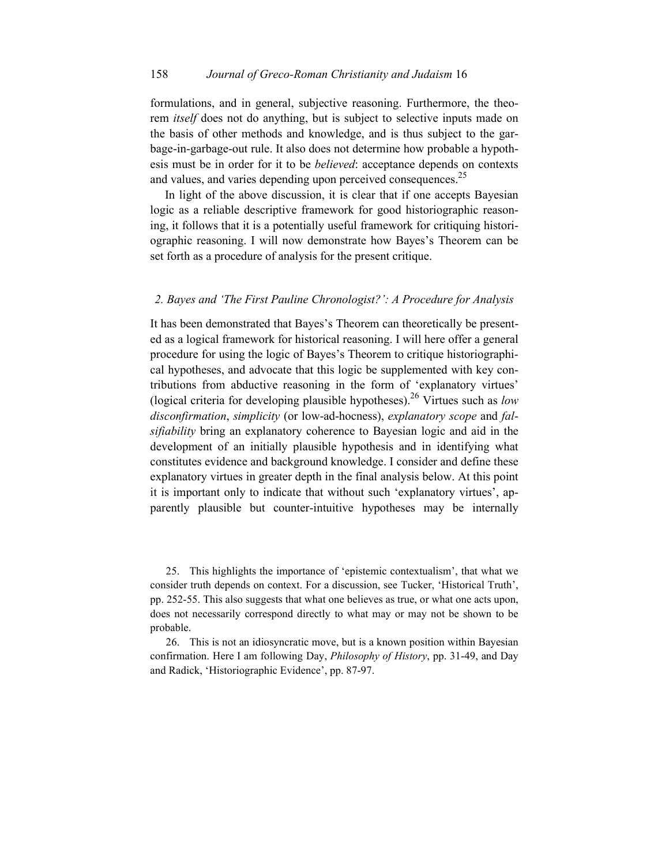#### 158 *Journal of Greco-Roman Christianity and Judaism* 16

formulations, and in general, subjective reasoning. Furthermore, the theorem *itself* does not do anything, but is subject to selective inputs made on the basis of other methods and knowledge, and is thus subject to the garbage-in-garbage-out rule. It also does not determine how probable a hypothesis must be in order for it to be *believed*: acceptance depends on contexts and values, and varies depending upon perceived consequences. $^{25}$ 

In light of the above discussion, it is clear that if one accepts Bayesian logic as a reliable descriptive framework for good historiographic reasoning, it follows that it is a potentially useful framework for critiquing historiographic reasoning. I will now demonstrate how Bayes's Theorem can be set forth as a procedure of analysis for the present critique.

#### *2. Bayes and 'The First Pauline Chronologist?': A Procedure for Analysis*

It has been demonstrated that Bayes's Theorem can theoretically be presented as a logical framework for historical reasoning. I will here offer a general procedure for using the logic of Bayes's Theorem to critique historiographical hypotheses, and advocate that this logic be supplemented with key contributions from abductive reasoning in the form of 'explanatory virtues' (logical criteria for developing plausible hypotheses).26 Virtues such as *low disconfirmation*, *simplicity* (or low-ad-hocness), *explanatory scope* and *falsifiability* bring an explanatory coherence to Bayesian logic and aid in the development of an initially plausible hypothesis and in identifying what constitutes evidence and background knowledge. I consider and define these explanatory virtues in greater depth in the final analysis below. At this point it is important only to indicate that without such 'explanatory virtues', apparently plausible but counter-intuitive hypotheses may be internally

25. This highlights the importance of 'epistemic contextualism', that what we consider truth depends on context. For a discussion, see Tucker, 'Historical Truth', pp. 252-55. This also suggests that what one believes as true, or what one acts upon, does not necessarily correspond directly to what may or may not be shown to be probable.

26. This is not an idiosyncratic move, but is a known position within Bayesian confirmation. Here I am following Day, *Philosophy of History*, pp. 31-49, and Day and Radick, 'Historiographic Evidence', pp. 87-97.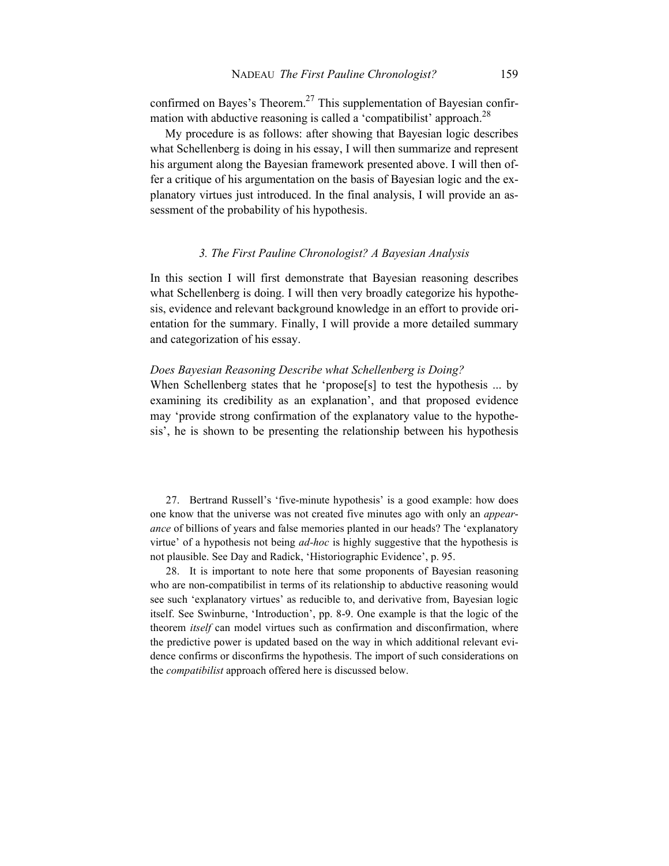confirmed on Bayes's Theorem.<sup>27</sup> This supplementation of Bayesian confirmation with abductive reasoning is called a 'compatibilist' approach.<sup>28</sup>

 My procedure is as follows: after showing that Bayesian logic describes what Schellenberg is doing in his essay, I will then summarize and represent his argument along the Bayesian framework presented above. I will then offer a critique of his argumentation on the basis of Bayesian logic and the explanatory virtues just introduced. In the final analysis, I will provide an assessment of the probability of his hypothesis.

#### *3. The First Pauline Chronologist? A Bayesian Analysis*

In this section I will first demonstrate that Bayesian reasoning describes what Schellenberg is doing. I will then very broadly categorize his hypothesis, evidence and relevant background knowledge in an effort to provide orientation for the summary. Finally, I will provide a more detailed summary and categorization of his essay.

#### *Does Bayesian Reasoning Describe what Schellenberg is Doing?*

When Schellenberg states that he 'propose<sup>[s]</sup> to test the hypothesis ... by examining its credibility as an explanation', and that proposed evidence may 'provide strong confirmation of the explanatory value to the hypothesis', he is shown to be presenting the relationship between his hypothesis

27. Bertrand Russell's 'five-minute hypothesis' is a good example: how does one know that the universe was not created five minutes ago with only an *appearance* of billions of years and false memories planted in our heads? The 'explanatory virtue' of a hypothesis not being *ad-hoc* is highly suggestive that the hypothesis is not plausible. See Day and Radick, 'Historiographic Evidence', p. 95.

28. It is important to note here that some proponents of Bayesian reasoning who are non-compatibilist in terms of its relationship to abductive reasoning would see such 'explanatory virtues' as reducible to, and derivative from, Bayesian logic itself. See Swinburne, 'Introduction', pp. 8-9. One example is that the logic of the theorem *itself* can model virtues such as confirmation and disconfirmation, where the predictive power is updated based on the way in which additional relevant evidence confirms or disconfirms the hypothesis. The import of such considerations on the *compatibilist* approach offered here is discussed below.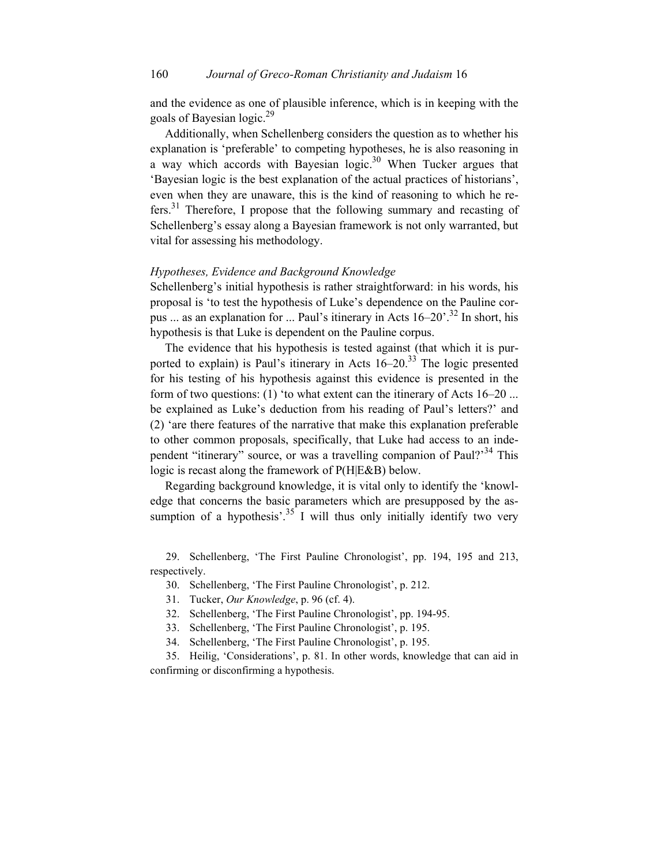and the evidence as one of plausible inference, which is in keeping with the goals of Bayesian logic.<sup>29</sup>

Additionally, when Schellenberg considers the question as to whether his explanation is 'preferable' to competing hypotheses, he is also reasoning in a way which accords with Bayesian logic.<sup>30</sup> When Tucker argues that 'Bayesian logic is the best explanation of the actual practices of historians', even when they are unaware, this is the kind of reasoning to which he refers.<sup>31</sup> Therefore, I propose that the following summary and recasting of Schellenberg's essay along a Bayesian framework is not only warranted, but vital for assessing his methodology.

## *Hypotheses, Evidence and Background Knowledge*

Schellenberg's initial hypothesis is rather straightforward: in his words, his proposal is 'to test the hypothesis of Luke's dependence on the Pauline corpus ... as an explanation for ... Paul's itinerary in Acts  $16-20$ <sup>32</sup>. In short, his hypothesis is that Luke is dependent on the Pauline corpus.

The evidence that his hypothesis is tested against (that which it is purported to explain) is Paul's itinerary in Acts  $16-20$ .<sup>33</sup> The logic presented for his testing of his hypothesis against this evidence is presented in the form of two questions: (1) 'to what extent can the itinerary of Acts 16–20 ... be explained as Luke's deduction from his reading of Paul's letters?' and (2) 'are there features of the narrative that make this explanation preferable to other common proposals, specifically, that Luke had access to an independent "itinerary" source, or was a travelling companion of Paul?<sup>34</sup> This logic is recast along the framework of P(H|E&B) below.

 Regarding background knowledge, it is vital only to identify the 'knowledge that concerns the basic parameters which are presupposed by the assumption of a hypothesis<sup>'.35</sup> I will thus only initially identify two very

29. Schellenberg, 'The First Pauline Chronologist', pp. 194, 195 and 213, respectively.

30. Schellenberg, 'The First Pauline Chronologist', p. 212.

31. Tucker, *Our Knowledge*, p. 96 (cf. 4).

32. Schellenberg, 'The First Pauline Chronologist', pp. 194-95.

33. Schellenberg, 'The First Pauline Chronologist', p. 195.

34. Schellenberg, 'The First Pauline Chronologist', p. 195.

35. Heilig, 'Considerations', p. 81. In other words, knowledge that can aid in confirming or disconfirming a hypothesis.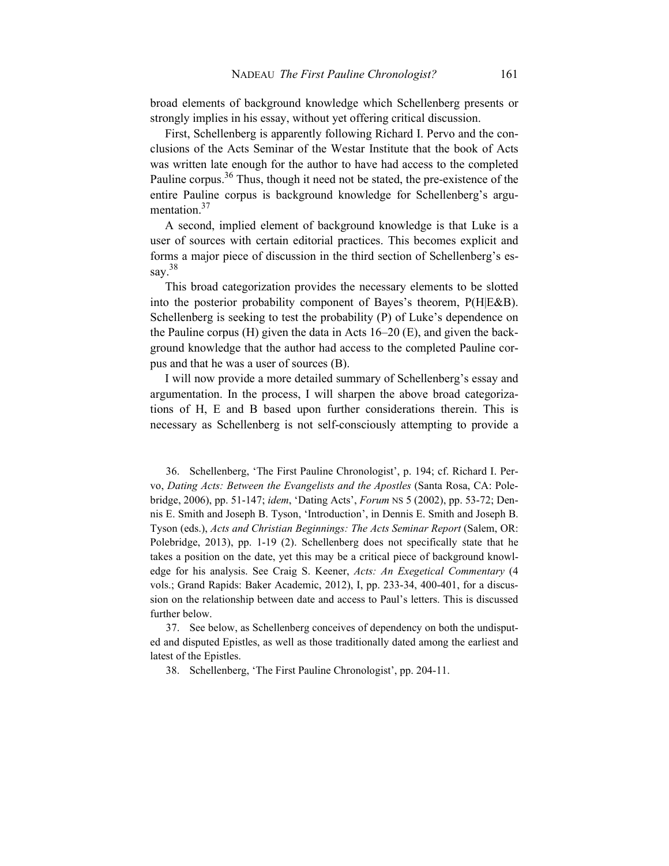broad elements of background knowledge which Schellenberg presents or strongly implies in his essay, without yet offering critical discussion.

First, Schellenberg is apparently following Richard I. Pervo and the conclusions of the Acts Seminar of the Westar Institute that the book of Acts was written late enough for the author to have had access to the completed Pauline corpus.<sup>36</sup> Thus, though it need not be stated, the pre-existence of the entire Pauline corpus is background knowledge for Schellenberg's argumentation.<sup>37</sup>

A second, implied element of background knowledge is that Luke is a user of sources with certain editorial practices. This becomes explicit and forms a major piece of discussion in the third section of Schellenberg's essay.<sup>38</sup>

 This broad categorization provides the necessary elements to be slotted into the posterior probability component of Bayes's theorem, P(H|E&B). Schellenberg is seeking to test the probability (P) of Luke's dependence on the Pauline corpus (H) given the data in Acts 16–20 (E), and given the background knowledge that the author had access to the completed Pauline corpus and that he was a user of sources (B).

I will now provide a more detailed summary of Schellenberg's essay and argumentation. In the process, I will sharpen the above broad categorizations of H, E and B based upon further considerations therein. This is necessary as Schellenberg is not self-consciously attempting to provide a

36. Schellenberg, 'The First Pauline Chronologist', p. 194; cf. Richard I. Pervo, *Dating Acts: Between the Evangelists and the Apostles* (Santa Rosa, CA: Polebridge, 2006), pp. 51-147; *idem*, 'Dating Acts', *Forum* NS 5 (2002), pp. 53-72; Dennis E. Smith and Joseph B. Tyson, 'Introduction', in Dennis E. Smith and Joseph B. Tyson (eds.), *Acts and Christian Beginnings: The Acts Seminar Report* (Salem, OR: Polebridge, 2013), pp. 1-19 (2). Schellenberg does not specifically state that he takes a position on the date, yet this may be a critical piece of background knowledge for his analysis. See Craig S. Keener, *Acts: An Exegetical Commentary* (4 vols.; Grand Rapids: Baker Academic, 2012), I, pp. 233-34, 400-401, for a discussion on the relationship between date and access to Paul's letters. This is discussed further below.

37. See below, as Schellenberg conceives of dependency on both the undisputed and disputed Epistles, as well as those traditionally dated among the earliest and latest of the Epistles.

38. Schellenberg, 'The First Pauline Chronologist', pp. 204-11.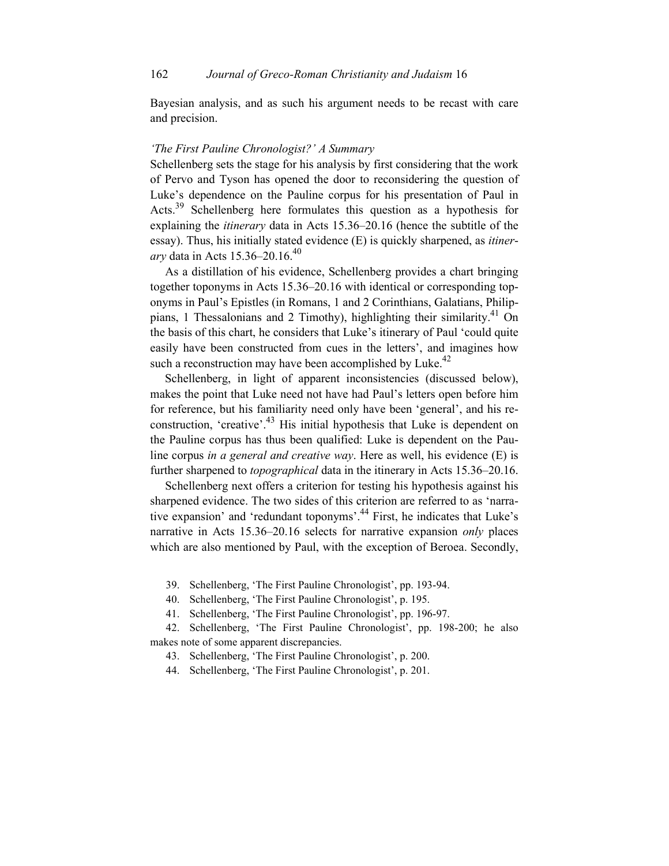Bayesian analysis, and as such his argument needs to be recast with care and precision.

#### *'The First Pauline Chronologist?' A Summary*

Schellenberg sets the stage for his analysis by first considering that the work of Pervo and Tyson has opened the door to reconsidering the question of Luke's dependence on the Pauline corpus for his presentation of Paul in Acts.<sup>39</sup> Schellenberg here formulates this question as a hypothesis for explaining the *itinerary* data in Acts 15.36–20.16 (hence the subtitle of the essay). Thus, his initially stated evidence (E) is quickly sharpened, as *itinerary* data in Acts 15.36–20.16.<sup>40</sup>

 As a distillation of his evidence, Schellenberg provides a chart bringing together toponyms in Acts 15.36–20.16 with identical or corresponding toponyms in Paul's Epistles (in Romans, 1 and 2 Corinthians, Galatians, Philippians, 1 Thessalonians and 2 Timothy), highlighting their similarity.<sup>41</sup> On the basis of this chart, he considers that Luke's itinerary of Paul 'could quite easily have been constructed from cues in the letters', and imagines how such a reconstruction may have been accomplished by Luke.<sup>42</sup>

Schellenberg, in light of apparent inconsistencies (discussed below), makes the point that Luke need not have had Paul's letters open before him for reference, but his familiarity need only have been 'general', and his reconstruction, 'creative'.<sup>43</sup> His initial hypothesis that Luke is dependent on the Pauline corpus has thus been qualified: Luke is dependent on the Pauline corpus *in a general and creative way*. Here as well, his evidence (E) is further sharpened to *topographical* data in the itinerary in Acts 15.36–20.16.

 Schellenberg next offers a criterion for testing his hypothesis against his sharpened evidence. The two sides of this criterion are referred to as 'narrative expansion' and 'redundant toponyms'.<sup>44</sup> First, he indicates that Luke's narrative in Acts 15.36–20.16 selects for narrative expansion *only* places which are also mentioned by Paul, with the exception of Beroea. Secondly,

39. Schellenberg, 'The First Pauline Chronologist', pp. 193-94.

40. Schellenberg, 'The First Pauline Chronologist', p. 195.

41. Schellenberg, 'The First Pauline Chronologist', pp. 196-97.

42. Schellenberg, 'The First Pauline Chronologist', pp. 198-200; he also makes note of some apparent discrepancies.

43. Schellenberg, 'The First Pauline Chronologist', p. 200.

44. Schellenberg, 'The First Pauline Chronologist', p. 201.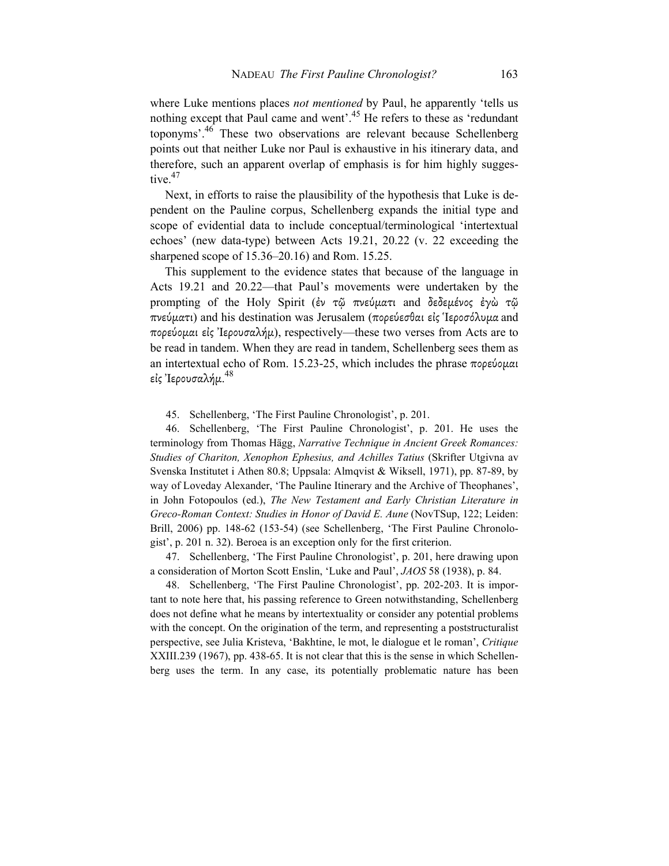where Luke mentions places *not mentioned* by Paul, he apparently 'tells us nothing except that Paul came and went'.<sup>45</sup> He refers to these as 'redundant toponyms'. $46$  These two observations are relevant because Schellenberg points out that neither Luke nor Paul is exhaustive in his itinerary data, and therefore, such an apparent overlap of emphasis is for him highly suggestive.<sup>47</sup>

 Next, in efforts to raise the plausibility of the hypothesis that Luke is dependent on the Pauline corpus, Schellenberg expands the initial type and scope of evidential data to include conceptual/terminological 'intertextual echoes' (new data-type) between Acts 19.21, 20.22 (v. 22 exceeding the sharpened scope of 15.36–20.16) and Rom. 15.25.

This supplement to the evidence states that because of the language in Acts 19.21 and 20.22—that Paul's movements were undertaken by the prompting of the Holy Spirit (ἐν τῷ πνεύµατι and δεδεµένος ἐγὼ τῷ πνεύµατι) and his destination was Jerusalem (πορεύεσθαι εἰς Ἱεροσόλυµα and πορεύοµαι εἰς Ἰερουσαλήµ), respectively—these two verses from Acts are to be read in tandem. When they are read in tandem, Schellenberg sees them as an intertextual echo of Rom. 15.23-25, which includes the phrase πορεύομαι εἰς Ἰερουσαλήμ. $^{48}$ 

45. Schellenberg, 'The First Pauline Chronologist', p. 201.

46. Schellenberg, 'The First Pauline Chronologist', p. 201. He uses the terminology from Thomas Hägg, *Narrative Technique in Ancient Greek Romances: Studies of Chariton, Xenophon Ephesius, and Achilles Tatius* (Skrifter Utgivna av Svenska Institutet i Athen 80.8; Uppsala: Almqvist & Wiksell, 1971), pp. 87-89, by way of Loveday Alexander, 'The Pauline Itinerary and the Archive of Theophanes', in John Fotopoulos (ed.), *The New Testament and Early Christian Literature in Greco-Roman Context: Studies in Honor of David E. Aune* (NovTSup, 122; Leiden: Brill, 2006) pp. 148-62 (153-54) (see Schellenberg, 'The First Pauline Chronologist', p. 201 n. 32). Beroea is an exception only for the first criterion.

47. Schellenberg, 'The First Pauline Chronologist', p. 201, here drawing upon a consideration of Morton Scott Enslin, 'Luke and Paul', *JAOS* 58 (1938), p. 84.

48. Schellenberg, 'The First Pauline Chronologist', pp. 202-203. It is important to note here that, his passing reference to Green notwithstanding, Schellenberg does not define what he means by intertextuality or consider any potential problems with the concept. On the origination of the term, and representing a poststructuralist perspective, see Julia Kristeva, 'Bakhtine, le mot, le dialogue et le roman', *Critique* XXIII.239 (1967), pp. 438-65. It is not clear that this is the sense in which Schellenberg uses the term. In any case, its potentially problematic nature has been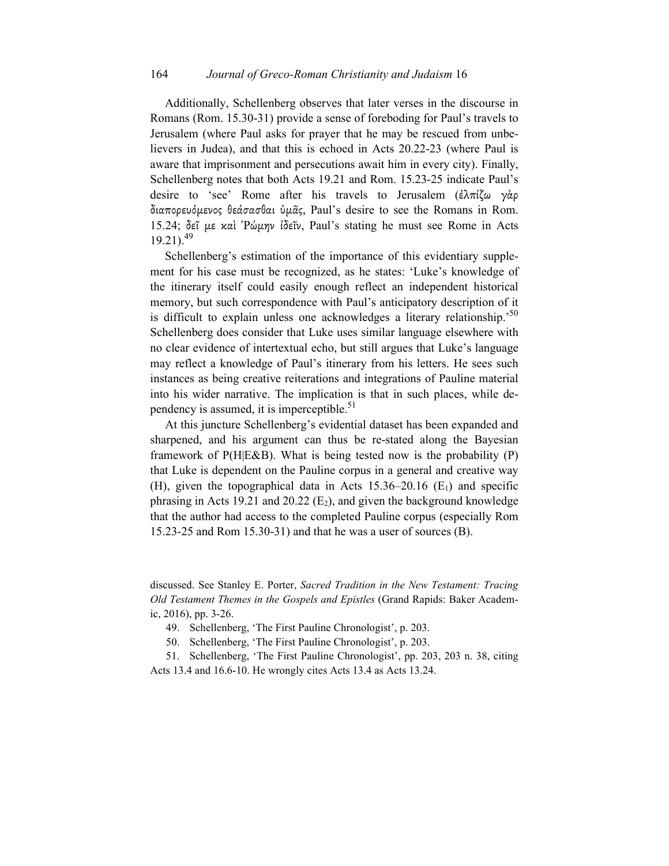Additionally, Schellenberg observes that later verses in the discourse in Romans (Rom. 15.30-31) provide a sense of foreboding for Paul's travels to Jerusalem (where Paul asks for prayer that he may be rescued from unbelievers in Judea), and that this is echoed in Acts 20.22-23 (where Paul is aware that imprisonment and persecutions await him in every city). Finally, Schellenberg notes that both Acts 19.21 and Rom. 15.23-25 indicate Paul's desire to 'see' Rome after his travels to Jerusalem (ἐλπίζω γὰρ διαπορευόµενος θεάσασθαι ὑµᾶς, Paul's desire to see the Romans in Rom. 15.24; δεῖ µε καὶ Ῥώµην ἰδεῖν, Paul's stating he must see Rome in Acts  $19.21$ ).<sup>49</sup>

Schellenberg's estimation of the importance of this evidentiary supplement for his case must be recognized, as he states: 'Luke's knowledge of the itinerary itself could easily enough reflect an independent historical memory, but such correspondence with Paul's anticipatory description of it is difficult to explain unless one acknowledges a literary relationship.<sup>50</sup> Schellenberg does consider that Luke uses similar language elsewhere with no clear evidence of intertextual echo, but still argues that Luke's language may reflect a knowledge of Paul's itinerary from his letters. He sees such instances as being creative reiterations and integrations of Pauline material into his wider narrative. The implication is that in such places, while dependency is assumed, it is imperceptible. $51$ 

 At this juncture Schellenberg's evidential dataset has been expanded and sharpened, and his argument can thus be re-stated along the Bayesian framework of P(H|E&B). What is being tested now is the probability (P) that Luke is dependent on the Pauline corpus in a general and creative way (H), given the topographical data in Acts  $15.36-20.16$  (E<sub>1</sub>) and specific phrasing in Acts 19.21 and 20.22  $(E_2)$ , and given the background knowledge that the author had access to the completed Pauline corpus (especially Rom 15.23-25 and Rom 15.30-31) and that he was a user of sources (B).

discussed. See Stanley E. Porter, *Sacred Tradition in the New Testament: Tracing Old Testament Themes in the Gospels and Epistles* (Grand Rapids: Baker Academic, 2016), pp. 3-26.

49. Schellenberg, 'The First Pauline Chronologist', p. 203.

50. Schellenberg, 'The First Pauline Chronologist', p. 203.

51. Schellenberg, 'The First Pauline Chronologist', pp. 203, 203 n. 38, citing Acts 13.4 and 16.6-10. He wrongly cites Acts 13.4 as Acts 13.24.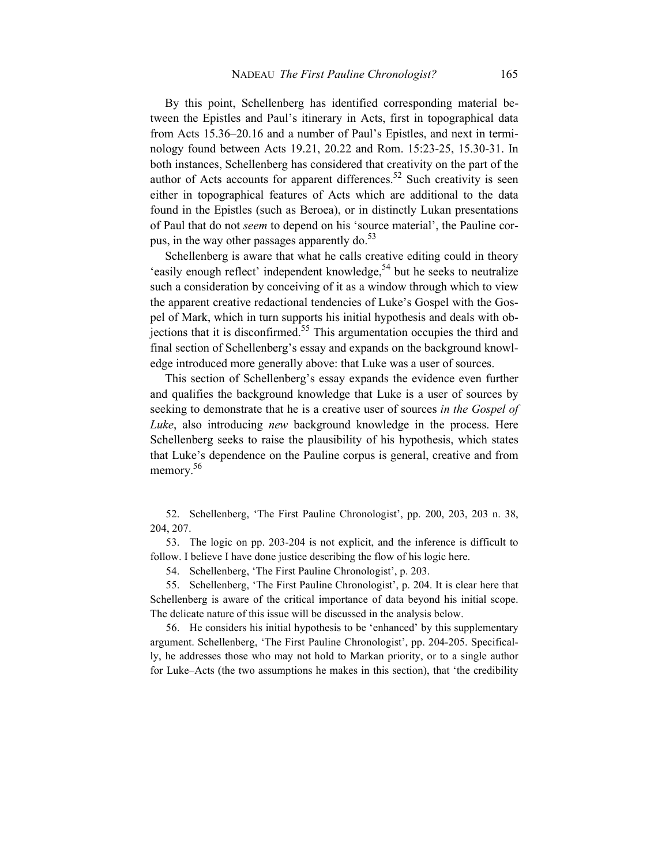By this point, Schellenberg has identified corresponding material between the Epistles and Paul's itinerary in Acts, first in topographical data from Acts 15.36–20.16 and a number of Paul's Epistles, and next in terminology found between Acts 19.21, 20.22 and Rom. 15:23-25, 15.30-31. In both instances, Schellenberg has considered that creativity on the part of the author of Acts accounts for apparent differences.<sup>52</sup> Such creativity is seen either in topographical features of Acts which are additional to the data found in the Epistles (such as Beroea), or in distinctly Lukan presentations of Paul that do not *seem* to depend on his 'source material', the Pauline corpus, in the way other passages apparently do. $53$ 

 Schellenberg is aware that what he calls creative editing could in theory 'easily enough reflect' independent knowledge,<sup>54</sup> but he seeks to neutralize such a consideration by conceiving of it as a window through which to view the apparent creative redactional tendencies of Luke's Gospel with the Gospel of Mark, which in turn supports his initial hypothesis and deals with ob- $\frac{1}{2}$  jections that it is disconfirmed.<sup>55</sup> This argumentation occupies the third and final section of Schellenberg's essay and expands on the background knowledge introduced more generally above: that Luke was a user of sources.

This section of Schellenberg's essay expands the evidence even further and qualifies the background knowledge that Luke is a user of sources by seeking to demonstrate that he is a creative user of sources *in the Gospel of Luke*, also introducing *new* background knowledge in the process. Here Schellenberg seeks to raise the plausibility of his hypothesis, which states that Luke's dependence on the Pauline corpus is general, creative and from memory.<sup>56</sup>

52. Schellenberg, 'The First Pauline Chronologist', pp. 200, 203, 203 n. 38, 204, 207.

53. The logic on pp. 203-204 is not explicit, and the inference is difficult to follow. I believe I have done justice describing the flow of his logic here.

54. Schellenberg, 'The First Pauline Chronologist', p. 203.

55. Schellenberg, 'The First Pauline Chronologist', p. 204. It is clear here that Schellenberg is aware of the critical importance of data beyond his initial scope. The delicate nature of this issue will be discussed in the analysis below.

56. He considers his initial hypothesis to be 'enhanced' by this supplementary argument. Schellenberg, 'The First Pauline Chronologist', pp. 204-205. Specifically, he addresses those who may not hold to Markan priority, or to a single author for Luke–Acts (the two assumptions he makes in this section), that 'the credibility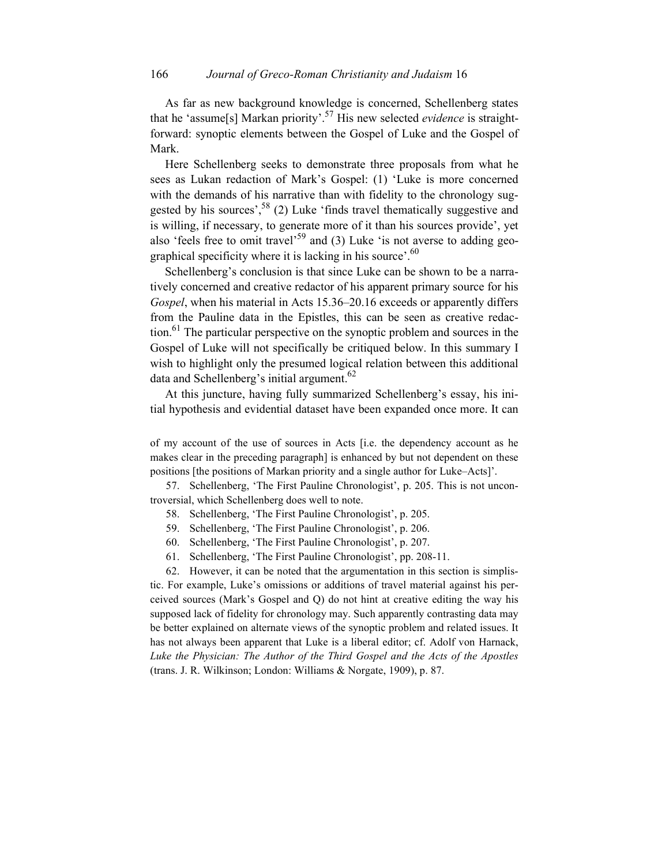As far as new background knowledge is concerned, Schellenberg states that he 'assume[s] Markan priority'.57 His new selected *evidence* is straightforward: synoptic elements between the Gospel of Luke and the Gospel of Mark.

 Here Schellenberg seeks to demonstrate three proposals from what he sees as Lukan redaction of Mark's Gospel: (1) 'Luke is more concerned with the demands of his narrative than with fidelity to the chronology suggested by his sources',  $58$  (2) Luke 'finds travel thematically suggestive and is willing, if necessary, to generate more of it than his sources provide', yet also 'feels free to omit travel'<sup>59</sup> and (3) Luke 'is not averse to adding geographical specificity where it is lacking in his source'.<sup>60</sup>

Schellenberg's conclusion is that since Luke can be shown to be a narratively concerned and creative redactor of his apparent primary source for his *Gospel*, when his material in Acts 15.36–20.16 exceeds or apparently differs from the Pauline data in the Epistles, this can be seen as creative redaction.<sup>61</sup> The particular perspective on the synoptic problem and sources in the Gospel of Luke will not specifically be critiqued below. In this summary I wish to highlight only the presumed logical relation between this additional data and Schellenberg's initial argument.<sup>62</sup>

 At this juncture, having fully summarized Schellenberg's essay, his initial hypothesis and evidential dataset have been expanded once more. It can

of my account of the use of sources in Acts [i.e. the dependency account as he makes clear in the preceding paragraph] is enhanced by but not dependent on these positions [the positions of Markan priority and a single author for Luke–Acts]'.

57. Schellenberg, 'The First Pauline Chronologist', p. 205. This is not uncontroversial, which Schellenberg does well to note.

- 58. Schellenberg, 'The First Pauline Chronologist', p. 205.
- 59. Schellenberg, 'The First Pauline Chronologist', p. 206.
- 60. Schellenberg, 'The First Pauline Chronologist', p. 207.
- 61. Schellenberg, 'The First Pauline Chronologist', pp. 208-11.

62. However, it can be noted that the argumentation in this section is simplistic. For example, Luke's omissions or additions of travel material against his perceived sources (Mark's Gospel and Q) do not hint at creative editing the way his supposed lack of fidelity for chronology may. Such apparently contrasting data may be better explained on alternate views of the synoptic problem and related issues. It has not always been apparent that Luke is a liberal editor; cf. Adolf von Harnack, *Luke the Physician: The Author of the Third Gospel and the Acts of the Apostles* (trans. J. R. Wilkinson; London: Williams & Norgate, 1909), p. 87.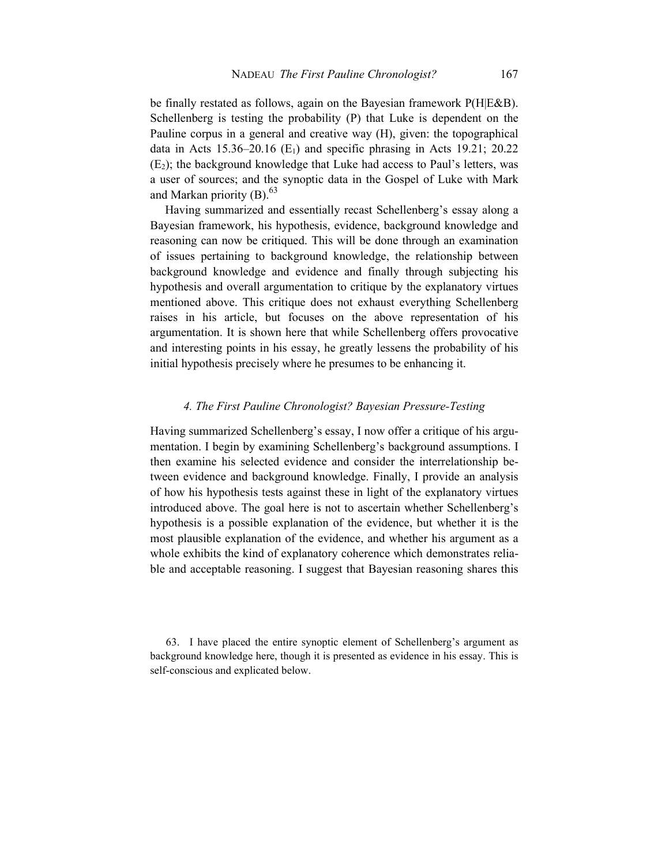be finally restated as follows, again on the Bayesian framework P(H|E&B). Schellenberg is testing the probability (P) that Luke is dependent on the Pauline corpus in a general and creative way (H), given: the topographical data in Acts  $15.36-20.16$  (E<sub>1</sub>) and specific phrasing in Acts 19.21; 20.22  $(E_2)$ ; the background knowledge that Luke had access to Paul's letters, was a user of sources; and the synoptic data in the Gospel of Luke with Mark and Markan priority  $(B)$ .<sup>63</sup>

 Having summarized and essentially recast Schellenberg's essay along a Bayesian framework, his hypothesis, evidence, background knowledge and reasoning can now be critiqued. This will be done through an examination of issues pertaining to background knowledge, the relationship between background knowledge and evidence and finally through subjecting his hypothesis and overall argumentation to critique by the explanatory virtues mentioned above. This critique does not exhaust everything Schellenberg raises in his article, but focuses on the above representation of his argumentation. It is shown here that while Schellenberg offers provocative and interesting points in his essay, he greatly lessens the probability of his initial hypothesis precisely where he presumes to be enhancing it.

## *4. The First Pauline Chronologist? Bayesian Pressure-Testing*

Having summarized Schellenberg's essay, I now offer a critique of his argumentation. I begin by examining Schellenberg's background assumptions. I then examine his selected evidence and consider the interrelationship between evidence and background knowledge. Finally, I provide an analysis of how his hypothesis tests against these in light of the explanatory virtues introduced above. The goal here is not to ascertain whether Schellenberg's hypothesis is a possible explanation of the evidence, but whether it is the most plausible explanation of the evidence, and whether his argument as a whole exhibits the kind of explanatory coherence which demonstrates reliable and acceptable reasoning. I suggest that Bayesian reasoning shares this

63. I have placed the entire synoptic element of Schellenberg's argument as background knowledge here, though it is presented as evidence in his essay. This is self-conscious and explicated below.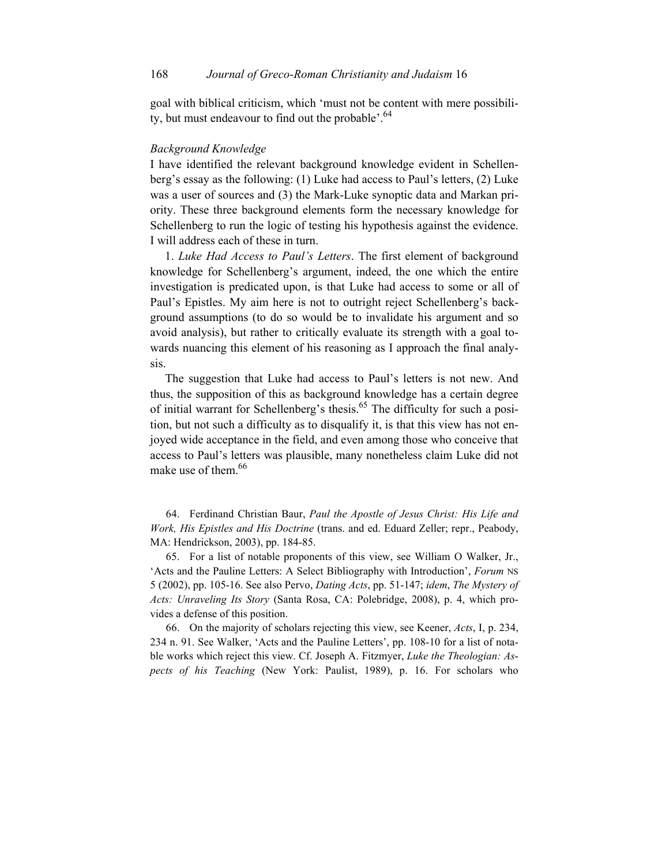goal with biblical criticism, which 'must not be content with mere possibility, but must endeavour to find out the probable'.<sup>64</sup>

#### *Background Knowledge*

I have identified the relevant background knowledge evident in Schellenberg's essay as the following: (1) Luke had access to Paul's letters, (2) Luke was a user of sources and (3) the Mark-Luke synoptic data and Markan priority. These three background elements form the necessary knowledge for Schellenberg to run the logic of testing his hypothesis against the evidence. I will address each of these in turn.

1. *Luke Had Access to Paul's Letters*. The first element of background knowledge for Schellenberg's argument, indeed, the one which the entire investigation is predicated upon, is that Luke had access to some or all of Paul's Epistles. My aim here is not to outright reject Schellenberg's background assumptions (to do so would be to invalidate his argument and so avoid analysis), but rather to critically evaluate its strength with a goal towards nuancing this element of his reasoning as I approach the final analysis.

 The suggestion that Luke had access to Paul's letters is not new. And thus, the supposition of this as background knowledge has a certain degree of initial warrant for Schellenberg's thesis.<sup>65</sup> The difficulty for such a position, but not such a difficulty as to disqualify it, is that this view has not enjoyed wide acceptance in the field, and even among those who conceive that access to Paul's letters was plausible, many nonetheless claim Luke did not make use of them.<sup>66</sup>

64. Ferdinand Christian Baur, *Paul the Apostle of Jesus Christ: His Life and Work, His Epistles and His Doctrine* (trans. and ed. Eduard Zeller; repr., Peabody, MA: Hendrickson, 2003), pp. 184-85.

65. For a list of notable proponents of this view, see William O Walker, Jr., 'Acts and the Pauline Letters: A Select Bibliography with Introduction', *Forum* NS 5 (2002), pp. 105-16. See also Pervo, *Dating Acts*, pp. 51-147; *idem*, *The Mystery of Acts: Unraveling Its Story* (Santa Rosa, CA: Polebridge, 2008), p. 4, which provides a defense of this position.

66. On the majority of scholars rejecting this view, see Keener, *Acts*, I, p. 234, 234 n. 91. See Walker, 'Acts and the Pauline Letters', pp. 108-10 for a list of notable works which reject this view. Cf. Joseph A. Fitzmyer, *Luke the Theologian: Aspects of his Teaching* (New York: Paulist, 1989), p. 16. For scholars who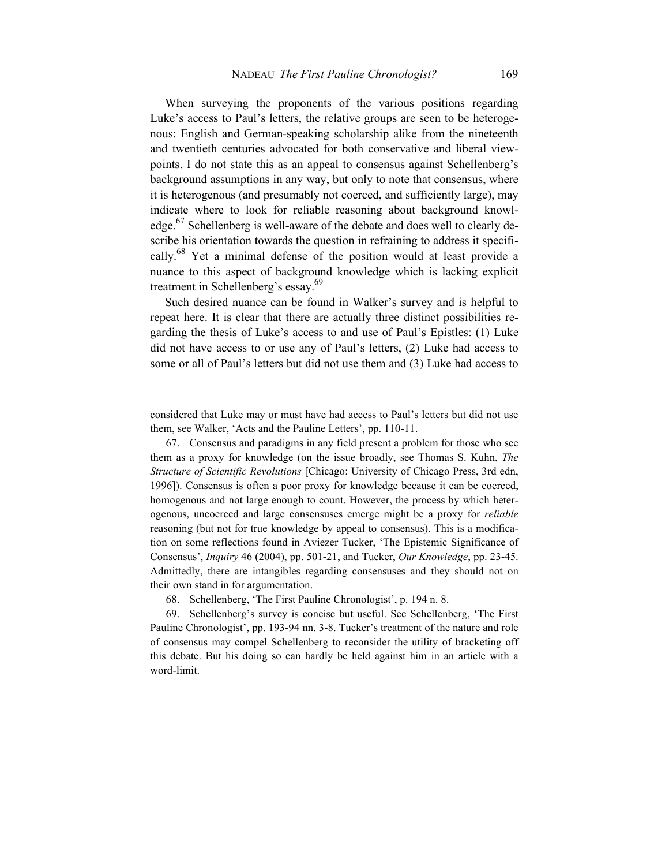When surveying the proponents of the various positions regarding Luke's access to Paul's letters, the relative groups are seen to be heterogenous: English and German-speaking scholarship alike from the nineteenth and twentieth centuries advocated for both conservative and liberal viewpoints. I do not state this as an appeal to consensus against Schellenberg's background assumptions in any way, but only to note that consensus, where it is heterogenous (and presumably not coerced, and sufficiently large), may indicate where to look for reliable reasoning about background knowledge.<sup>67</sup> Schellenberg is well-aware of the debate and does well to clearly describe his orientation towards the question in refraining to address it specifically.<sup>68</sup> Yet a minimal defense of the position would at least provide a nuance to this aspect of background knowledge which is lacking explicit treatment in Schellenberg's essay.<sup>69</sup>

 Such desired nuance can be found in Walker's survey and is helpful to repeat here. It is clear that there are actually three distinct possibilities regarding the thesis of Luke's access to and use of Paul's Epistles: (1) Luke did not have access to or use any of Paul's letters, (2) Luke had access to some or all of Paul's letters but did not use them and (3) Luke had access to

considered that Luke may or must have had access to Paul's letters but did not use them, see Walker, 'Acts and the Pauline Letters', pp. 110-11.

67. Consensus and paradigms in any field present a problem for those who see them as a proxy for knowledge (on the issue broadly, see Thomas S. Kuhn, *The Structure of Scientific Revolutions* [Chicago: University of Chicago Press, 3rd edn, 1996]). Consensus is often a poor proxy for knowledge because it can be coerced, homogenous and not large enough to count. However, the process by which heterogenous, uncoerced and large consensuses emerge might be a proxy for *reliable*  reasoning (but not for true knowledge by appeal to consensus). This is a modification on some reflections found in Aviezer Tucker, 'The Epistemic Significance of Consensus', *Inquiry* 46 (2004), pp. 501-21, and Tucker, *Our Knowledge*, pp. 23-45. Admittedly, there are intangibles regarding consensuses and they should not on their own stand in for argumentation.

68. Schellenberg, 'The First Pauline Chronologist', p. 194 n. 8.

69. Schellenberg's survey is concise but useful. See Schellenberg, 'The First Pauline Chronologist', pp. 193-94 nn. 3-8. Tucker's treatment of the nature and role of consensus may compel Schellenberg to reconsider the utility of bracketing off this debate. But his doing so can hardly be held against him in an article with a word-limit.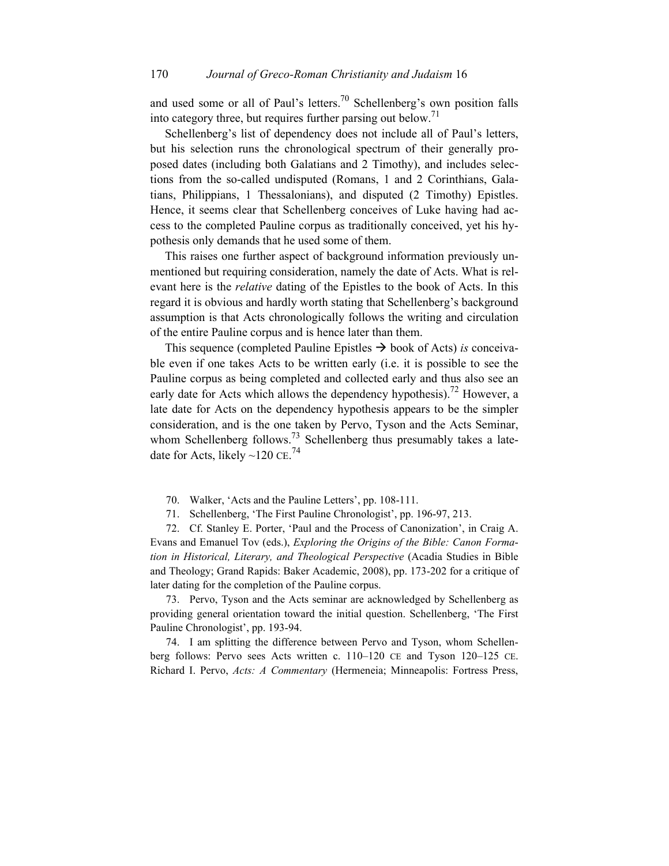and used some or all of Paul's letters.<sup>70</sup> Schellenberg's own position falls into category three, but requires further parsing out below.<sup>71</sup>

Schellenberg's list of dependency does not include all of Paul's letters, but his selection runs the chronological spectrum of their generally proposed dates (including both Galatians and 2 Timothy), and includes selections from the so-called undisputed (Romans, 1 and 2 Corinthians, Galatians, Philippians, 1 Thessalonians), and disputed (2 Timothy) Epistles. Hence, it seems clear that Schellenberg conceives of Luke having had access to the completed Pauline corpus as traditionally conceived, yet his hypothesis only demands that he used some of them.

This raises one further aspect of background information previously unmentioned but requiring consideration, namely the date of Acts. What is relevant here is the *relative* dating of the Epistles to the book of Acts. In this regard it is obvious and hardly worth stating that Schellenberg's background assumption is that Acts chronologically follows the writing and circulation of the entire Pauline corpus and is hence later than them.

This sequence (completed Pauline Epistles  $\rightarrow$  book of Acts) *is* conceivable even if one takes Acts to be written early (i.e. it is possible to see the Pauline corpus as being completed and collected early and thus also see an early date for Acts which allows the dependency hypothesis).<sup>72</sup> However, a late date for Acts on the dependency hypothesis appears to be the simpler consideration, and is the one taken by Pervo, Tyson and the Acts Seminar, whom Schellenberg follows.<sup>73</sup> Schellenberg thus presumably takes a latedate for Acts, likely  $\sim$ 120 CE.<sup>74</sup>

- 70. Walker, 'Acts and the Pauline Letters', pp. 108-111.
- 71. Schellenberg, 'The First Pauline Chronologist', pp. 196-97, 213.

72. Cf. Stanley E. Porter, 'Paul and the Process of Canonization', in Craig A. Evans and Emanuel Tov (eds.), *Exploring the Origins of the Bible: Canon Formation in Historical, Literary, and Theological Perspective* (Acadia Studies in Bible and Theology; Grand Rapids: Baker Academic, 2008), pp. 173-202 for a critique of later dating for the completion of the Pauline corpus.

73. Pervo, Tyson and the Acts seminar are acknowledged by Schellenberg as providing general orientation toward the initial question. Schellenberg, 'The First Pauline Chronologist', pp. 193-94.

74. I am splitting the difference between Pervo and Tyson, whom Schellenberg follows: Pervo sees Acts written c. 110–120 CE and Tyson 120–125 CE. Richard I. Pervo, *Acts: A Commentary* (Hermeneia; Minneapolis: Fortress Press,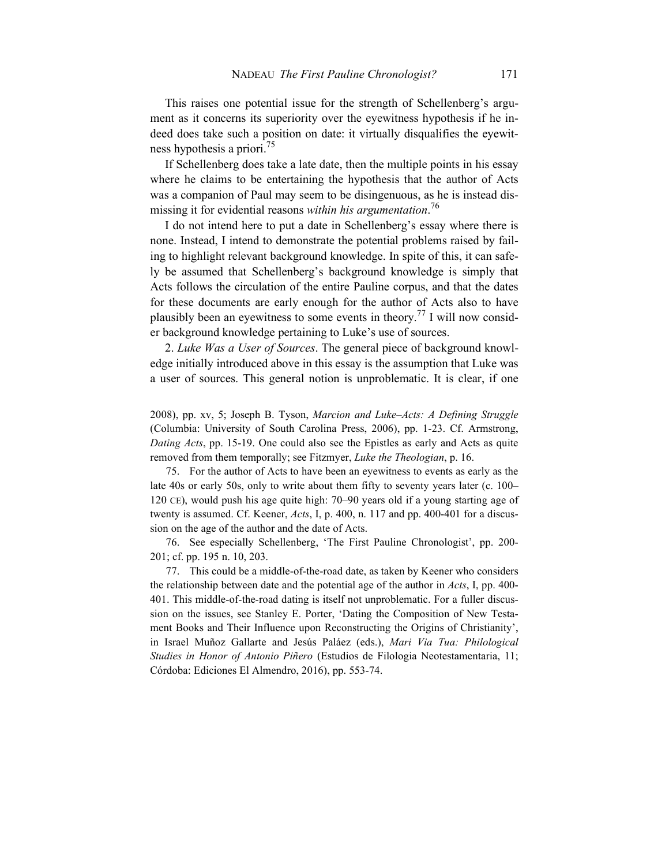This raises one potential issue for the strength of Schellenberg's argument as it concerns its superiority over the eyewitness hypothesis if he indeed does take such a position on date: it virtually disqualifies the eyewitness hypothesis a priori.<sup>75</sup>

If Schellenberg does take a late date, then the multiple points in his essay where he claims to be entertaining the hypothesis that the author of Acts was a companion of Paul may seem to be disingenuous, as he is instead dismissing it for evidential reasons *within his argumentation*. 76

I do not intend here to put a date in Schellenberg's essay where there is none. Instead, I intend to demonstrate the potential problems raised by failing to highlight relevant background knowledge. In spite of this, it can safely be assumed that Schellenberg's background knowledge is simply that Acts follows the circulation of the entire Pauline corpus, and that the dates for these documents are early enough for the author of Acts also to have plausibly been an eyewitness to some events in theory.<sup>77</sup> I will now consider background knowledge pertaining to Luke's use of sources.

2. *Luke Was a User of Sources*. The general piece of background knowledge initially introduced above in this essay is the assumption that Luke was a user of sources. This general notion is unproblematic. It is clear, if one

2008), pp. xv, 5; Joseph B. Tyson, *Marcion and Luke–Acts: A Defining Struggle*  (Columbia: University of South Carolina Press, 2006), pp. 1-23. Cf. Armstrong, *Dating Acts*, pp. 15-19. One could also see the Epistles as early and Acts as quite removed from them temporally; see Fitzmyer, *Luke the Theologian*, p. 16.

75. For the author of Acts to have been an eyewitness to events as early as the late 40s or early 50s, only to write about them fifty to seventy years later (c. 100– 120 CE), would push his age quite high: 70–90 years old if a young starting age of twenty is assumed. Cf. Keener, *Acts*, I, p. 400, n. 117 and pp. 400-401 for a discussion on the age of the author and the date of Acts.

76. See especially Schellenberg, 'The First Pauline Chronologist', pp. 200- 201; cf. pp. 195 n. 10, 203.

77. This could be a middle-of-the-road date, as taken by Keener who considers the relationship between date and the potential age of the author in *Acts*, I, pp. 400- 401. This middle-of-the-road dating is itself not unproblematic. For a fuller discussion on the issues, see Stanley E. Porter, 'Dating the Composition of New Testament Books and Their Influence upon Reconstructing the Origins of Christianity', in Israel Muñoz Gallarte and Jesús Paláez (eds.), *Mari Via Tua: Philological Studies in Honor of Antonio Piñero* (Estudios de Filologia Neotestamentaria, 11; Córdoba: Ediciones El Almendro, 2016), pp. 553-74.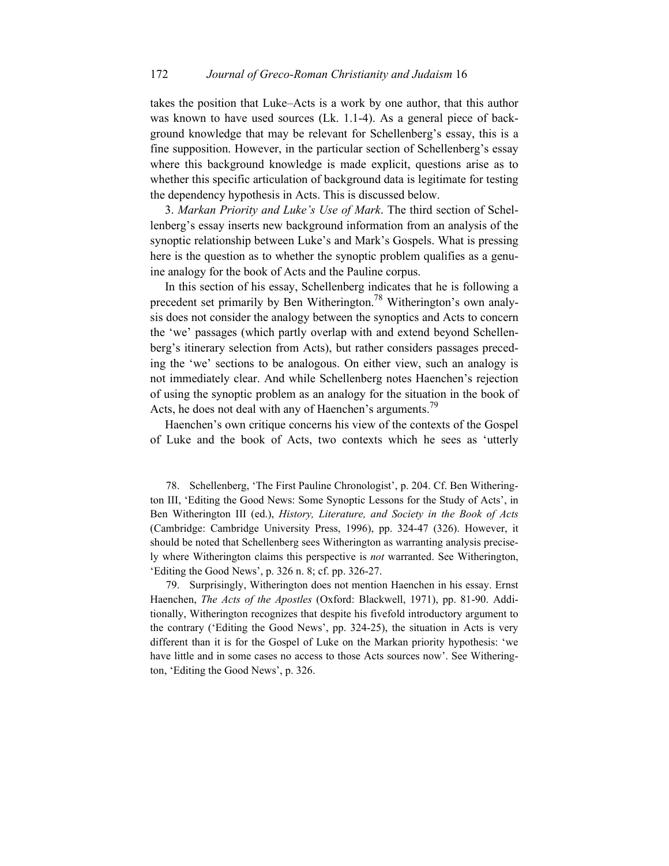takes the position that Luke–Acts is a work by one author, that this author was known to have used sources (Lk. 1.1-4). As a general piece of background knowledge that may be relevant for Schellenberg's essay, this is a fine supposition. However, in the particular section of Schellenberg's essay where this background knowledge is made explicit, questions arise as to whether this specific articulation of background data is legitimate for testing the dependency hypothesis in Acts. This is discussed below.

3. *Markan Priority and Luke's Use of Mark*. The third section of Schellenberg's essay inserts new background information from an analysis of the synoptic relationship between Luke's and Mark's Gospels. What is pressing here is the question as to whether the synoptic problem qualifies as a genuine analogy for the book of Acts and the Pauline corpus.

In this section of his essay, Schellenberg indicates that he is following a precedent set primarily by Ben Witherington.<sup>78</sup> Witherington's own analysis does not consider the analogy between the synoptics and Acts to concern the 'we' passages (which partly overlap with and extend beyond Schellenberg's itinerary selection from Acts), but rather considers passages preceding the 'we' sections to be analogous. On either view, such an analogy is not immediately clear. And while Schellenberg notes Haenchen's rejection of using the synoptic problem as an analogy for the situation in the book of Acts, he does not deal with any of Haenchen's arguments.<sup>79</sup>

Haenchen's own critique concerns his view of the contexts of the Gospel of Luke and the book of Acts, two contexts which he sees as 'utterly

78. Schellenberg, 'The First Pauline Chronologist', p. 204. Cf. Ben Witherington III, 'Editing the Good News: Some Synoptic Lessons for the Study of Acts', in Ben Witherington III (ed.), *History, Literature, and Society in the Book of Acts* (Cambridge: Cambridge University Press, 1996), pp. 324-47 (326). However, it should be noted that Schellenberg sees Witherington as warranting analysis precisely where Witherington claims this perspective is *not* warranted. See Witherington, 'Editing the Good News', p. 326 n. 8; cf. pp. 326-27.

79. Surprisingly, Witherington does not mention Haenchen in his essay. Ernst Haenchen, *The Acts of the Apostles* (Oxford: Blackwell, 1971), pp. 81-90. Additionally, Witherington recognizes that despite his fivefold introductory argument to the contrary ('Editing the Good News', pp. 324-25), the situation in Acts is very different than it is for the Gospel of Luke on the Markan priority hypothesis: 'we have little and in some cases no access to those Acts sources now'. See Witherington, 'Editing the Good News', p. 326.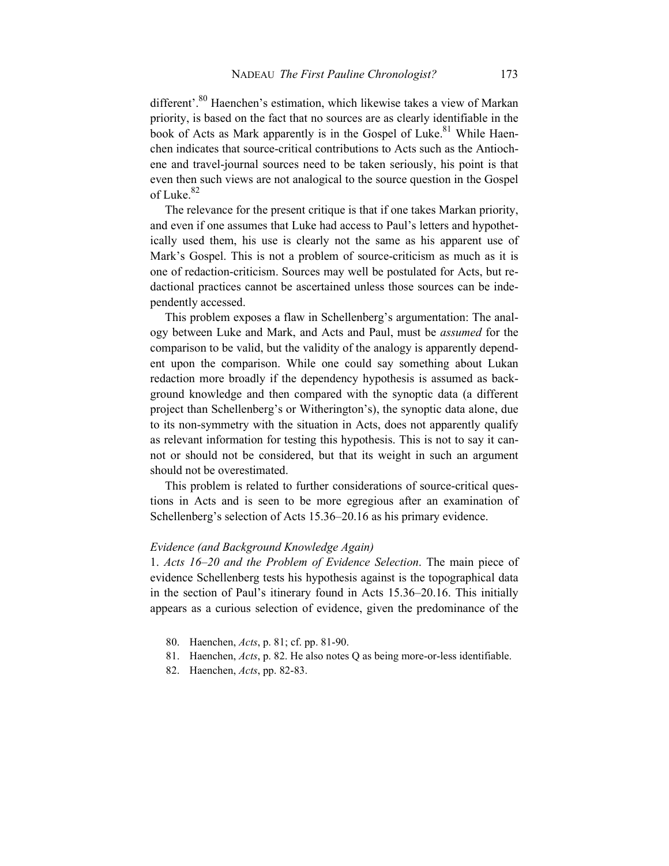different'.<sup>80</sup> Haenchen's estimation, which likewise takes a view of Markan priority, is based on the fact that no sources are as clearly identifiable in the book of Acts as Mark apparently is in the Gospel of Luke.<sup>81</sup> While Haenchen indicates that source-critical contributions to Acts such as the Antiochene and travel-journal sources need to be taken seriously, his point is that even then such views are not analogical to the source question in the Gospel of Luke. $82$ 

The relevance for the present critique is that if one takes Markan priority, and even if one assumes that Luke had access to Paul's letters and hypothetically used them, his use is clearly not the same as his apparent use of Mark's Gospel. This is not a problem of source-criticism as much as it is one of redaction-criticism. Sources may well be postulated for Acts, but redactional practices cannot be ascertained unless those sources can be independently accessed.

This problem exposes a flaw in Schellenberg's argumentation: The analogy between Luke and Mark, and Acts and Paul, must be *assumed* for the comparison to be valid, but the validity of the analogy is apparently dependent upon the comparison. While one could say something about Lukan redaction more broadly if the dependency hypothesis is assumed as background knowledge and then compared with the synoptic data (a different project than Schellenberg's or Witherington's), the synoptic data alone, due to its non-symmetry with the situation in Acts, does not apparently qualify as relevant information for testing this hypothesis. This is not to say it cannot or should not be considered, but that its weight in such an argument should not be overestimated.

This problem is related to further considerations of source-critical questions in Acts and is seen to be more egregious after an examination of Schellenberg's selection of Acts 15.36–20.16 as his primary evidence.

## *Evidence (and Background Knowledge Again)*

1. *Acts 16–20 and the Problem of Evidence Selection*. The main piece of evidence Schellenberg tests his hypothesis against is the topographical data in the section of Paul's itinerary found in Acts 15.36–20.16. This initially appears as a curious selection of evidence, given the predominance of the

- 80. Haenchen, *Acts*, p. 81; cf. pp. 81-90.
- 81. Haenchen, *Acts*, p. 82. He also notes Q as being more-or-less identifiable.
- 82. Haenchen, *Acts*, pp. 82-83.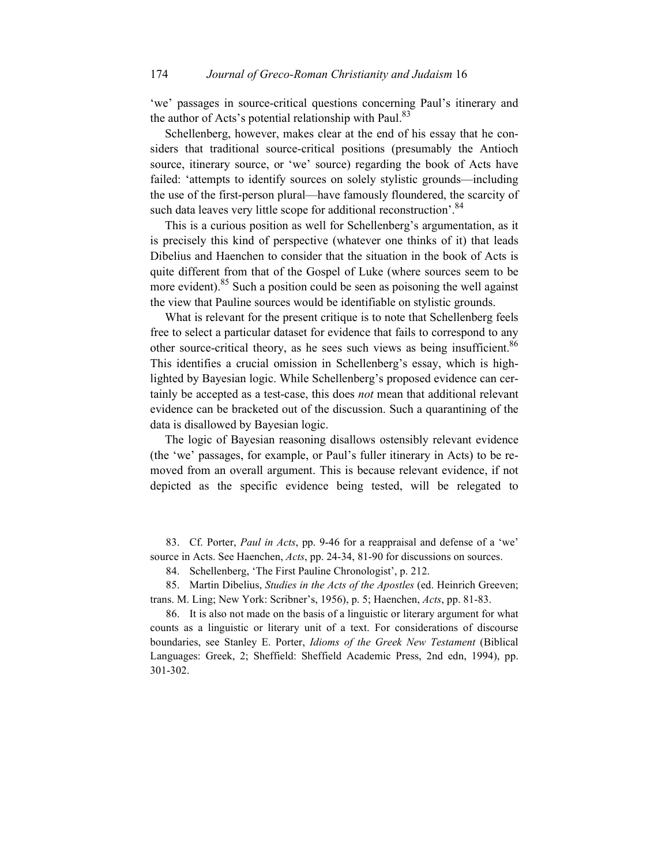'we' passages in source-critical questions concerning Paul's itinerary and the author of Acts's potential relationship with Paul. $83$ 

Schellenberg, however, makes clear at the end of his essay that he considers that traditional source-critical positions (presumably the Antioch source, itinerary source, or 'we' source) regarding the book of Acts have failed: 'attempts to identify sources on solely stylistic grounds—including the use of the first-person plural—have famously floundered, the scarcity of such data leaves very little scope for additional reconstruction'. 84

This is a curious position as well for Schellenberg's argumentation, as it is precisely this kind of perspective (whatever one thinks of it) that leads Dibelius and Haenchen to consider that the situation in the book of Acts is quite different from that of the Gospel of Luke (where sources seem to be more evident).<sup>85</sup> Such a position could be seen as poisoning the well against the view that Pauline sources would be identifiable on stylistic grounds.

What is relevant for the present critique is to note that Schellenberg feels free to select a particular dataset for evidence that fails to correspond to any other source-critical theory, as he sees such views as being insufficient.<sup>86</sup> This identifies a crucial omission in Schellenberg's essay, which is highlighted by Bayesian logic. While Schellenberg's proposed evidence can certainly be accepted as a test-case, this does *not* mean that additional relevant evidence can be bracketed out of the discussion. Such a quarantining of the data is disallowed by Bayesian logic.

The logic of Bayesian reasoning disallows ostensibly relevant evidence (the 'we' passages, for example, or Paul's fuller itinerary in Acts) to be removed from an overall argument. This is because relevant evidence, if not depicted as the specific evidence being tested, will be relegated to

83. Cf. Porter, *Paul in Acts*, pp. 9-46 for a reappraisal and defense of a 'we' source in Acts. See Haenchen, *Acts*, pp. 24-34, 81-90 for discussions on sources.

84. Schellenberg, 'The First Pauline Chronologist', p. 212.

85. Martin Dibelius, *Studies in the Acts of the Apostles* (ed. Heinrich Greeven; trans. M. Ling; New York: Scribner's, 1956), p. 5; Haenchen, *Acts*, pp. 81-83.

86. It is also not made on the basis of a linguistic or literary argument for what counts as a linguistic or literary unit of a text. For considerations of discourse boundaries, see Stanley E. Porter, *Idioms of the Greek New Testament* (Biblical Languages: Greek, 2; Sheffield: Sheffield Academic Press, 2nd edn, 1994), pp. 301-302.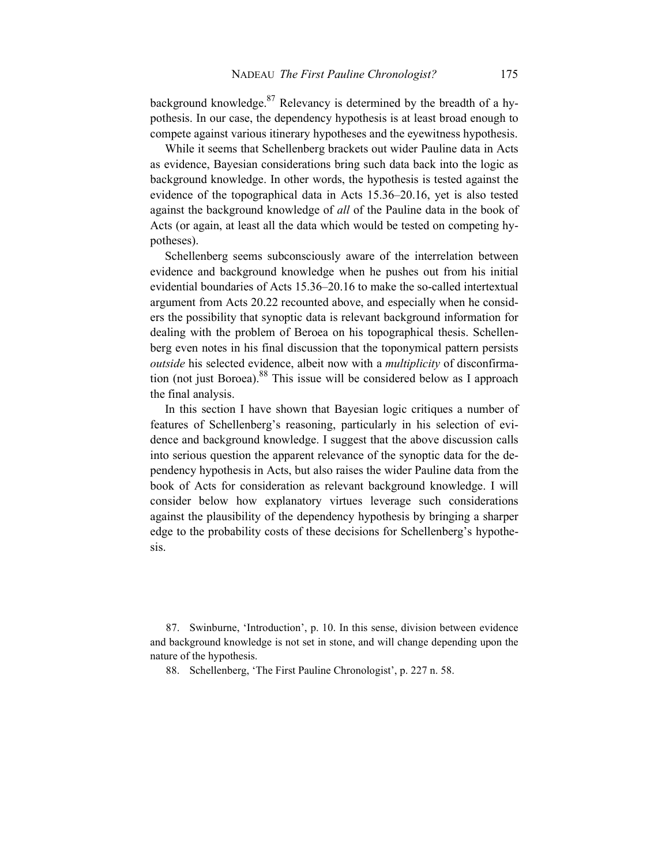background knowledge.<sup>87</sup> Relevancy is determined by the breadth of a hypothesis. In our case, the dependency hypothesis is at least broad enough to compete against various itinerary hypotheses and the eyewitness hypothesis.

While it seems that Schellenberg brackets out wider Pauline data in Acts as evidence, Bayesian considerations bring such data back into the logic as background knowledge. In other words, the hypothesis is tested against the evidence of the topographical data in Acts 15.36–20.16, yet is also tested against the background knowledge of *all* of the Pauline data in the book of Acts (or again, at least all the data which would be tested on competing hypotheses).

Schellenberg seems subconsciously aware of the interrelation between evidence and background knowledge when he pushes out from his initial evidential boundaries of Acts 15.36–20.16 to make the so-called intertextual argument from Acts 20.22 recounted above, and especially when he considers the possibility that synoptic data is relevant background information for dealing with the problem of Beroea on his topographical thesis. Schellenberg even notes in his final discussion that the toponymical pattern persists *outside* his selected evidence, albeit now with a *multiplicity* of disconfirmation (not just Boroea).  $88$  This issue will be considered below as I approach the final analysis.

In this section I have shown that Bayesian logic critiques a number of features of Schellenberg's reasoning, particularly in his selection of evidence and background knowledge. I suggest that the above discussion calls into serious question the apparent relevance of the synoptic data for the dependency hypothesis in Acts, but also raises the wider Pauline data from the book of Acts for consideration as relevant background knowledge. I will consider below how explanatory virtues leverage such considerations against the plausibility of the dependency hypothesis by bringing a sharper edge to the probability costs of these decisions for Schellenberg's hypothesis.

87. Swinburne, 'Introduction', p. 10. In this sense, division between evidence and background knowledge is not set in stone, and will change depending upon the nature of the hypothesis.

88. Schellenberg, 'The First Pauline Chronologist', p. 227 n. 58.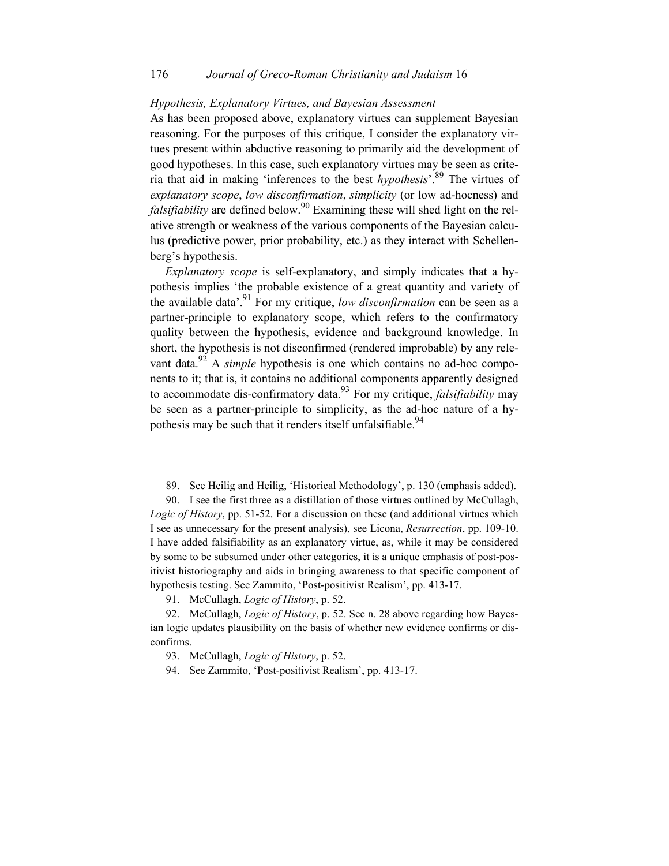#### 176 *Journal of Greco-Roman Christianity and Judaism* 16

#### *Hypothesis, Explanatory Virtues, and Bayesian Assessment*

As has been proposed above, explanatory virtues can supplement Bayesian reasoning. For the purposes of this critique, I consider the explanatory virtues present within abductive reasoning to primarily aid the development of good hypotheses. In this case, such explanatory virtues may be seen as criteria that aid in making 'inferences to the best *hypothesis*'.89 The virtues of *explanatory scope*, *low disconfirmation*, *simplicity* (or low ad-hocness) and *falsifiability* are defined below.<sup>90</sup> Examining these will shed light on the relative strength or weakness of the various components of the Bayesian calculus (predictive power, prior probability, etc.) as they interact with Schellenberg's hypothesis.

*Explanatory scope* is self-explanatory, and simply indicates that a hypothesis implies 'the probable existence of a great quantity and variety of the available data'.91 For my critique, *low disconfirmation* can be seen as a partner-principle to explanatory scope, which refers to the confirmatory quality between the hypothesis, evidence and background knowledge. In short, the hypothesis is not disconfirmed (rendered improbable) by any relevant data.<sup>92</sup> A *simple* hypothesis is one which contains no ad-hoc components to it; that is, it contains no additional components apparently designed to accommodate dis-confirmatory data.93 For my critique, *falsifiability* may be seen as a partner-principle to simplicity, as the ad-hoc nature of a hypothesis may be such that it renders itself unfalsifiable.<sup>94</sup>

89. See Heilig and Heilig, 'Historical Methodology', p. 130 (emphasis added).

90. I see the first three as a distillation of those virtues outlined by McCullagh, *Logic of History*, pp. 51-52. For a discussion on these (and additional virtues which I see as unnecessary for the present analysis), see Licona, *Resurrection*, pp. 109-10. I have added falsifiability as an explanatory virtue, as, while it may be considered by some to be subsumed under other categories, it is a unique emphasis of post-positivist historiography and aids in bringing awareness to that specific component of hypothesis testing. See Zammito, 'Post-positivist Realism', pp. 413-17.

91. McCullagh, *Logic of History*, p. 52.

92. McCullagh, *Logic of History*, p. 52. See n. 28 above regarding how Bayesian logic updates plausibility on the basis of whether new evidence confirms or disconfirms.

93. McCullagh, *Logic of History*, p. 52.

94. See Zammito, 'Post-positivist Realism', pp. 413-17.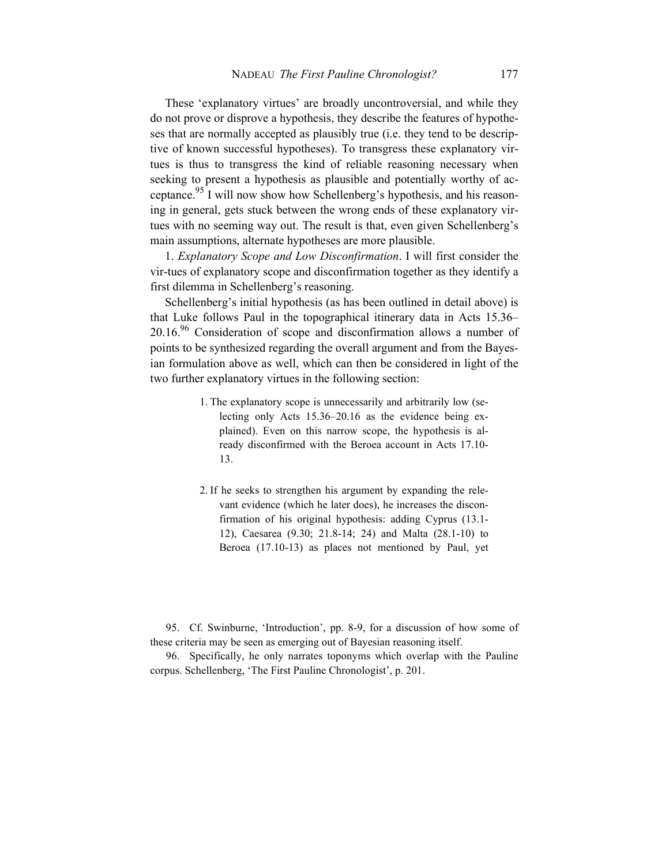These 'explanatory virtues' are broadly uncontroversial, and while they do not prove or disprove a hypothesis, they describe the features of hypotheses that are normally accepted as plausibly true (i.e. they tend to be descriptive of known successful hypotheses). To transgress these explanatory virtues is thus to transgress the kind of reliable reasoning necessary when seeking to present a hypothesis as plausible and potentially worthy of acceptance.<sup>95</sup> I will now show how Schellenberg's hypothesis, and his reasoning in general, gets stuck between the wrong ends of these explanatory virtues with no seeming way out. The result is that, even given Schellenberg's main assumptions, alternate hypotheses are more plausible.

1. *Explanatory Scope and Low Disconfirmation*. I will first consider the vir-tues of explanatory scope and disconfirmation together as they identify a first dilemma in Schellenberg's reasoning.

Schellenberg's initial hypothesis (as has been outlined in detail above) is that Luke follows Paul in the topographical itinerary data in Acts 15.36–  $20.16<sup>96</sup>$  Consideration of scope and disconfirmation allows a number of points to be synthesized regarding the overall argument and from the Bayesian formulation above as well, which can then be considered in light of the two further explanatory virtues in the following section:

- 1. The explanatory scope is unnecessarily and arbitrarily low (selecting only Acts 15.36–20.16 as the evidence being explained). Even on this narrow scope, the hypothesis is already disconfirmed with the Beroea account in Acts 17.10- 13.
- 2. If he seeks to strengthen his argument by expanding the relevant evidence (which he later does), he increases the disconfirmation of his original hypothesis: adding Cyprus (13.1- 12), Caesarea (9.30; 21.8-14; 24) and Malta (28.1-10) to Beroea (17.10-13) as places not mentioned by Paul, yet

95. Cf. Swinburne, 'Introduction', pp. 8-9, for a discussion of how some of these criteria may be seen as emerging out of Bayesian reasoning itself.

96. Specifically, he only narrates toponyms which overlap with the Pauline corpus. Schellenberg, 'The First Pauline Chronologist', p. 201.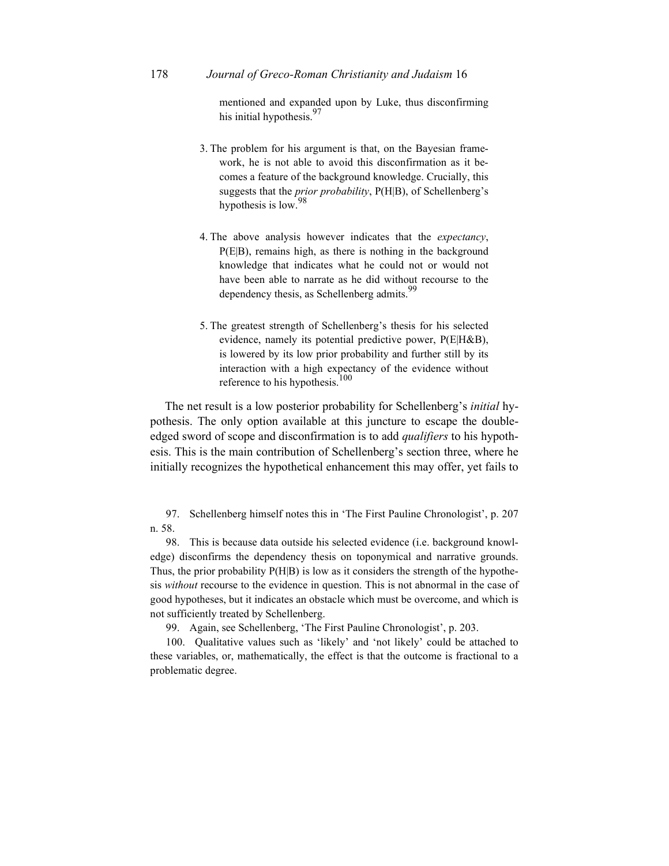178 *Journal of Greco-Roman Christianity and Judaism* 16

mentioned and expanded upon by Luke, thus disconfirming his initial hypothesis.<sup>97</sup>

- 3. The problem for his argument is that, on the Bayesian framework, he is not able to avoid this disconfirmation as it becomes a feature of the background knowledge. Crucially, this suggests that the *prior probability*, P(H|B), of Schellenberg's hypothesis is low.<sup>98</sup>
- 4. The above analysis however indicates that the *expectancy*, P(E|B), remains high, as there is nothing in the background knowledge that indicates what he could not or would not have been able to narrate as he did without recourse to the dependency thesis, as Schellenberg admits.<sup>99</sup>
- 5. The greatest strength of Schellenberg's thesis for his selected evidence, namely its potential predictive power, P(E|H&B), is lowered by its low prior probability and further still by its interaction with a high expectancy of the evidence without reference to his hypothesis.<sup>100</sup>

The net result is a low posterior probability for Schellenberg's *initial* hypothesis. The only option available at this juncture to escape the doubleedged sword of scope and disconfirmation is to add *qualifiers* to his hypothesis. This is the main contribution of Schellenberg's section three, where he initially recognizes the hypothetical enhancement this may offer, yet fails to

97. Schellenberg himself notes this in 'The First Pauline Chronologist', p. 207 n. 58.

98. This is because data outside his selected evidence (i.e. background knowledge) disconfirms the dependency thesis on toponymical and narrative grounds. Thus, the prior probability P(H|B) is low as it considers the strength of the hypothesis *without* recourse to the evidence in question. This is not abnormal in the case of good hypotheses, but it indicates an obstacle which must be overcome, and which is not sufficiently treated by Schellenberg.

99. Again, see Schellenberg, 'The First Pauline Chronologist', p. 203.

100. Qualitative values such as 'likely' and 'not likely' could be attached to these variables, or, mathematically, the effect is that the outcome is fractional to a problematic degree.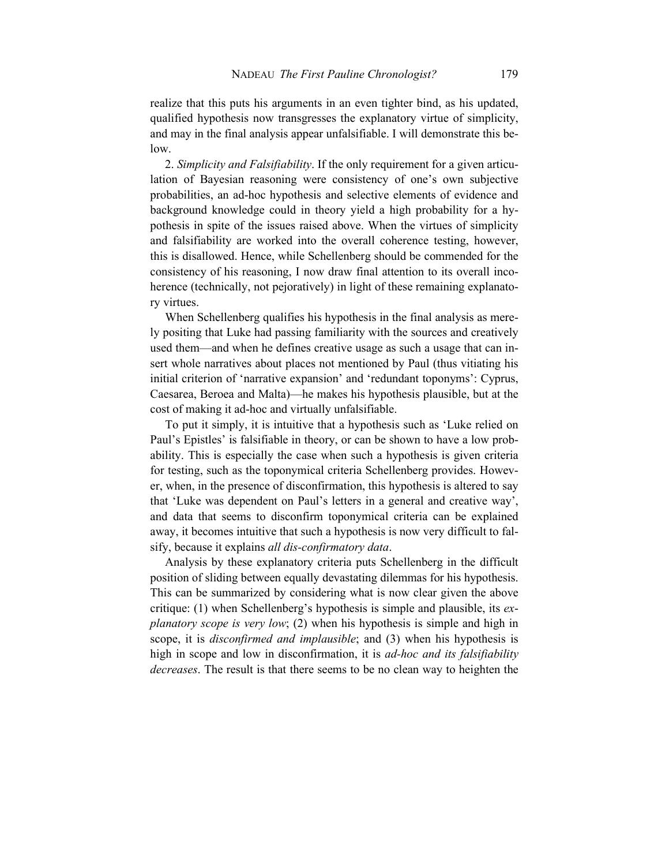realize that this puts his arguments in an even tighter bind, as his updated, qualified hypothesis now transgresses the explanatory virtue of simplicity, and may in the final analysis appear unfalsifiable. I will demonstrate this below.

2. *Simplicity and Falsifiability*. If the only requirement for a given articulation of Bayesian reasoning were consistency of one's own subjective probabilities, an ad-hoc hypothesis and selective elements of evidence and background knowledge could in theory yield a high probability for a hypothesis in spite of the issues raised above. When the virtues of simplicity and falsifiability are worked into the overall coherence testing, however, this is disallowed. Hence, while Schellenberg should be commended for the consistency of his reasoning, I now draw final attention to its overall incoherence (technically, not pejoratively) in light of these remaining explanatory virtues.

 When Schellenberg qualifies his hypothesis in the final analysis as merely positing that Luke had passing familiarity with the sources and creatively used them—and when he defines creative usage as such a usage that can insert whole narratives about places not mentioned by Paul (thus vitiating his initial criterion of 'narrative expansion' and 'redundant toponyms': Cyprus, Caesarea, Beroea and Malta)—he makes his hypothesis plausible, but at the cost of making it ad-hoc and virtually unfalsifiable.

 To put it simply, it is intuitive that a hypothesis such as 'Luke relied on Paul's Epistles' is falsifiable in theory, or can be shown to have a low probability. This is especially the case when such a hypothesis is given criteria for testing, such as the toponymical criteria Schellenberg provides. However, when, in the presence of disconfirmation, this hypothesis is altered to say that 'Luke was dependent on Paul's letters in a general and creative way', and data that seems to disconfirm toponymical criteria can be explained away, it becomes intuitive that such a hypothesis is now very difficult to falsify, because it explains *all dis-confirmatory data*.

Analysis by these explanatory criteria puts Schellenberg in the difficult position of sliding between equally devastating dilemmas for his hypothesis. This can be summarized by considering what is now clear given the above critique: (1) when Schellenberg's hypothesis is simple and plausible, its *explanatory scope is very low*; (2) when his hypothesis is simple and high in scope, it is *disconfirmed and implausible*; and (3) when his hypothesis is high in scope and low in disconfirmation, it is *ad-hoc and its falsifiability decreases*. The result is that there seems to be no clean way to heighten the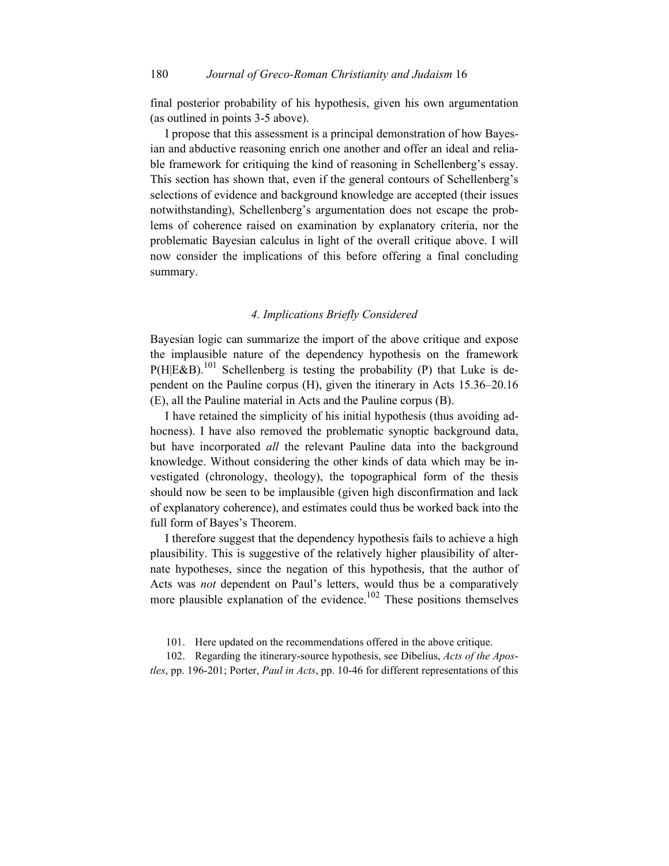final posterior probability of his hypothesis, given his own argumentation (as outlined in points 3-5 above).

I propose that this assessment is a principal demonstration of how Bayesian and abductive reasoning enrich one another and offer an ideal and reliable framework for critiquing the kind of reasoning in Schellenberg's essay. This section has shown that, even if the general contours of Schellenberg's selections of evidence and background knowledge are accepted (their issues notwithstanding), Schellenberg's argumentation does not escape the problems of coherence raised on examination by explanatory criteria, nor the problematic Bayesian calculus in light of the overall critique above. I will now consider the implications of this before offering a final concluding summary.

#### *4. Implications Briefly Considered*

Bayesian logic can summarize the import of the above critique and expose the implausible nature of the dependency hypothesis on the framework  $P(H|E&B)$ .<sup>101</sup> Schellenberg is testing the probability (P) that Luke is dependent on the Pauline corpus (H), given the itinerary in Acts 15.36–20.16 (E), all the Pauline material in Acts and the Pauline corpus (B).

I have retained the simplicity of his initial hypothesis (thus avoiding adhocness). I have also removed the problematic synoptic background data, but have incorporated *all* the relevant Pauline data into the background knowledge. Without considering the other kinds of data which may be investigated (chronology, theology), the topographical form of the thesis should now be seen to be implausible (given high disconfirmation and lack of explanatory coherence), and estimates could thus be worked back into the full form of Bayes's Theorem.

I therefore suggest that the dependency hypothesis fails to achieve a high plausibility. This is suggestive of the relatively higher plausibility of alternate hypotheses, since the negation of this hypothesis, that the author of Acts was *not* dependent on Paul's letters, would thus be a comparatively more plausible explanation of the evidence.<sup>102</sup> These positions themselves

101. Here updated on the recommendations offered in the above critique.

102. Regarding the itinerary-source hypothesis, see Dibelius, *Acts of the Apostles*, pp. 196-201; Porter, *Paul in Acts*, pp. 10-46 for different representations of this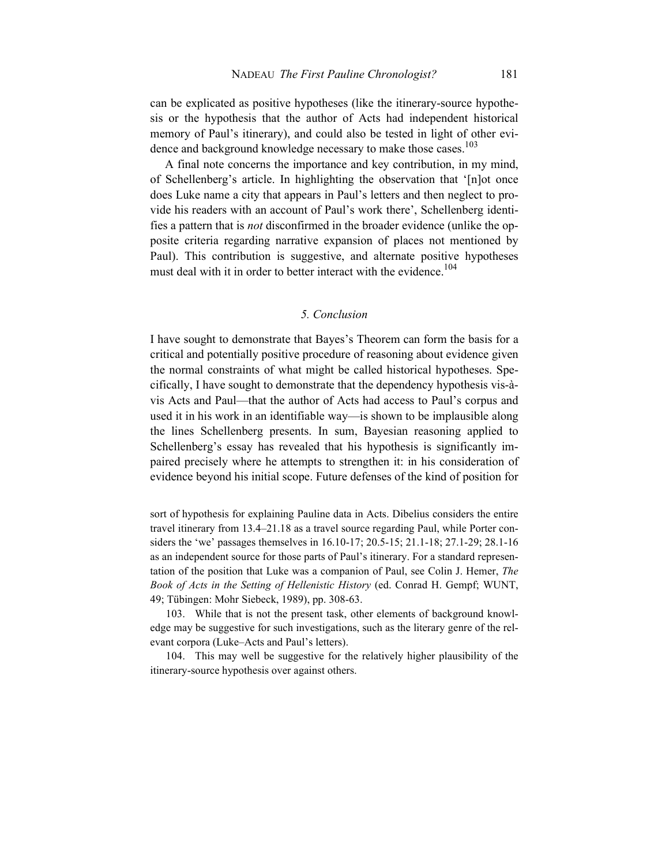can be explicated as positive hypotheses (like the itinerary-source hypothesis or the hypothesis that the author of Acts had independent historical memory of Paul's itinerary), and could also be tested in light of other evidence and background knowledge necessary to make those cases.<sup>103</sup>

A final note concerns the importance and key contribution, in my mind, of Schellenberg's article. In highlighting the observation that '[n]ot once does Luke name a city that appears in Paul's letters and then neglect to provide his readers with an account of Paul's work there', Schellenberg identifies a pattern that is *not* disconfirmed in the broader evidence (unlike the opposite criteria regarding narrative expansion of places not mentioned by Paul). This contribution is suggestive, and alternate positive hypotheses must deal with it in order to better interact with the evidence.<sup>104</sup>

#### *5. Conclusion*

I have sought to demonstrate that Bayes's Theorem can form the basis for a critical and potentially positive procedure of reasoning about evidence given the normal constraints of what might be called historical hypotheses. Specifically, I have sought to demonstrate that the dependency hypothesis vis-àvis Acts and Paul⸺that the author of Acts had access to Paul's corpus and used it in his work in an identifiable way⸺is shown to be implausible along the lines Schellenberg presents. In sum, Bayesian reasoning applied to Schellenberg's essay has revealed that his hypothesis is significantly impaired precisely where he attempts to strengthen it: in his consideration of evidence beyond his initial scope. Future defenses of the kind of position for

sort of hypothesis for explaining Pauline data in Acts. Dibelius considers the entire travel itinerary from 13.4–21.18 as a travel source regarding Paul, while Porter considers the 'we' passages themselves in 16.10-17; 20.5-15; 21.1-18; 27.1-29; 28.1-16 as an independent source for those parts of Paul's itinerary. For a standard representation of the position that Luke was a companion of Paul, see Colin J. Hemer, *The Book of Acts in the Setting of Hellenistic History* (ed. Conrad H. Gempf; WUNT, 49; Tübingen: Mohr Siebeck, 1989), pp. 308-63.

103. While that is not the present task, other elements of background knowledge may be suggestive for such investigations, such as the literary genre of the relevant corpora (Luke–Acts and Paul's letters).

104. This may well be suggestive for the relatively higher plausibility of the itinerary-source hypothesis over against others.